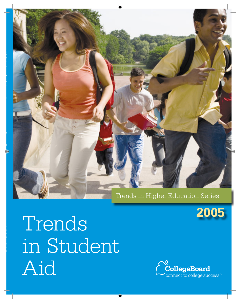

### Trends in Higher Education Series



Trends in Student Aid

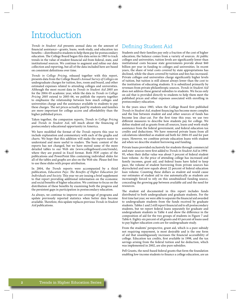### **Introduction**

Trends in Student Aid presents annual data on the amount of financial assistance—grants, loans, work-study, and education tax benefits—distributed to students to help them pay for postsecondary education. The College Board began this data series in 1983 to track trends in the value of student financial aid from federal, state, and institutional sources. We continue to augment and refine our data collection and reporting, but all of the data included here are based on consistent definitions over time.

Trends in College Pricing, released together with this report, presents data from the College Board's Annual Survey of Colleges on undergraduate charges for tuition, fees, room and board, and other estimated expenses related to attending colleges and universities. Although the most recent data in Trends in Student Aid 2005 are for the 2004-05 academic year, while the data in Trends in College Pricing 2005 extend to 2005-06, we publish the reports together to emphasize the relationship between how much colleges and universities charge and the assistance available to students to pay these charges. The net prices actually paid by students and families are more important for college access and affordability than the higher published prices.

Taken together, the companion reports, Trends in College Pricing and Trends in Student Aid, tell much about the financing of postsecondary educational opportunity in America.

We have modified the format of the Trends reports this year to include explanation and commentary with each of the graphs and charts. We hope that this addition will make the reports easier to understand and more useful to readers. The basic content of the reports has not changed, but we have moved some of the more detailed tables to our Web site (www.collegeboard.com/trends), where they are posted in Excel format. Both PDF copies of the publications and PowerPoint files containing individual slides for all of the tables and graphs are also on the Web site. Please feel free to use these slides with proper attribution.

In 2004, the Trends reports were accompanied by a third publication, Education Pays: The Benefits of Higher Education for Individuals and Society. This year we are issuing a brief supplement to that report providing additional information on the economic and social benefits of higher education. We continue to focus on the distribution of these benefits by examining both the progress and the persistent gaps in participation in postsecondary education.

As always, we continue to improve our coverage of programs and update previously reported statistics when better data become available. Therefore, this update replaces previous Trends in Student Aid publications.

### Defining Student Aid

Students and their families pay only a fraction of the cost of higher education; the balance comes from a variety of sources. At public colleges and universities, tuition levels are significantly lower than institutional costs because state governments provide about \$60 billion per year in funding to colleges and universities. In recent years, the share of total costs covered by state appropriations has declined, while the share covered by tuition and fees has increased. Private colleges and universities charge significantly higher levels of tuition, but tuition is still almost always lower than the cost to the institution of educating students. It is subsidized primarily by revenues from private philanthropic sources. Trends in Student Aid does not address these general subsidies to students. We focus only on aid that is provided directly to students to help them meet the published prices and other expenses associated with enrolling in postsecondary education.

In the years since 1983, when the College Board first published Trends in Student Aid, student financing has become more complex and the line between student aid and other sources of funds has become less clear-cut. For the first time this year, we use two different measures to describe how students pay for college. We define student aid as grants from all sources, loans and work-study assistance from the federal government, and federal education tax credits and deductions. We have removed private loans from all calculations identified as student aid both for 2004-05 and for past years. However, we combine private education loans with student aid when we describe student borrowing and funding.

Private loans provided exclusively for students through commercial and state sources were first added to Trends in Student Aid in 1994-95, when their dollar value was about 5 percent of federal student loan volume. As the price of attending college has increased and family incomes, grant aid, and federal loans have failed to keep pace, the volume of student borrowing from private sources has skyrocketed and now equals about 22 percent of federal education loan volume. Counting these dollars as student aid would cause our estimates of student aid to rise automatically as students are increasingly forced to rely on this unsubsidized funding source, concealing the growing gap between available aid and the need for resources.

The student aid documented in this report includes funds distributed to both undergraduate and graduate students. For the first time last year, we were able to separate the financial aid awarded to undergraduate students from the funds received by graduate students. Tables 1 and 2 still report financial aid to all postsecondary students, but we report federal loans separately for graduate and undergraduate students in Table 4 and show the difference in the composition of aid for the two groups of students in Figure 7 and Table 6. Eighty-six percent of all grants and 65 percent of loans used to pay higher education costs are for undergraduate study.

From the students' perspective, grant aid, which is a pure subsidy not requiring repayment, is most desirable and is the one form of aid that unambiguously increases the financial accessibility of college. Education tax credits, first available in 1998, and the tax savings arising from the federal tuition and fee deduction, which was implemented in 2002, are also pure subsidies.

Pell Grants, the need-based federal grants that form the foundation enabling low-income students to finance a college education, are an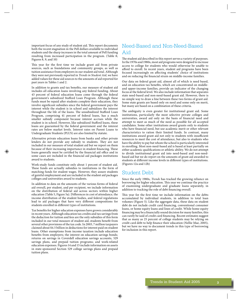important focus of any study of student aid. This report documents both the recent stagnation in the Pell dollars available to individual students and the sharp increases in the total amount of Pell funding resulting from increased participation in the program. (Table 8; Figures 8, 9, and 10)

This year for the first time we include grant aid from private sources, such as foundations and community groups, as well as tuition assistance from employers in our student aid total. Although they were not previously reported in Trends in Student Aid, we have added values for these aid sources to the amounts of aid reported for past years in Tables 1 and 2.

In addition to grants and tax benefits, our measure of student aid includes all education loans involving any federal funding. About 43 percent of federal education loans come through the federal government's subsidized Stafford Loan Program. Although these funds must be repaid after students complete their education, they involve significant subsidies since the federal government pays the interest while the student is in school and subsidizes the interest throughout the life of the loans. The unsubsidized Stafford Loan Program, comprising 41 percent of federal loans, has a much smaller subsidy component because interest accrues while the student is in school. However, like subsidized Stafford loans, these loans are guaranteed by the federal government and the interest rates are below market levels. Interest rates on Parent Loans to Undergraduate Students (PLUS) are also limited by statute.

Alternative private education loans from banks and other private lenders do not provide any subsidy to students. They are not included in our measure of total student aid but we report on them because of their increasing importance in student financing. These loans generally must be certified by the financial aid office and in some cases are included in the financial aid packages institutions award to students.

Work-study funds constitute only about 1 percent of student aid. These funds are actually subsidies to institutions in the form of matching funds for student wages. However, they assure students of gainful employment and are included in the student aid packages colleges and universities award to students.

In addition to data on the amounts of the various forms of federal aid overall, per student, and per recipient, we include information on the distribution of federal aid across sectors within higher education (Table 5, Figure 5a). Differences in cost of attendance, the income distribution of the student bodies, and federal regulations lead to aid packages that have very different compositions for students enrolled in different types of institutions.

Tax benefits for higher education expenses have grown considerably in recent years. Although education tax credits and tax savings from the deduction for tuition and fees are the only subsidies of this form included in our total measure of student aid, students benefit from several other provisions of the tax code. In 2003, 7 million taxpayers claimed about \$4.5 billion in deductions for interest paid on student loans. Other exemptions from income taxation include education benefits from employers; the interest on education savings bonds; returns on savings in Coverdell education savings accounts, 529 savings plans, and prepaid tuition programs; and work-related education expenses. Figures 14 and 15 include information on assets in state-sponsored Section 529 college savings plans and prepaid tuition plans.

### Need-Based and Non-Need-Based Aid

The student aid described in this report serves a variety of purposes. In the 1970s and 1980s, most aid programs were designed to increase access to college for students who would otherwise be unable to afford to enroll. In recent years, student aid programs have been focused increasingly on affecting students' choice of institutions and on reducing the financial strain on middle-income families.

Our data on federal grant aid, almost all of which is need based, and on education tax benefits, which are concentrated on middleand upper-income families, provide an indicator of the changing focus at the federal level. We also include information that separates state need-based and non-need-based grant aid. However, there is no simple way to draw a line between these two forms of grant aid. Some state grants are based only on need and some only on merit, but many are based on a combination of these criteria.

The ambiguity is even greater for institutional grant aid. Some institutions, particularly the most selective private colleges and universities, award aid only on the basis of financial need and attempt to meet as much of the need as possible for all accepted candidates. Some other institutions award grants only to students who have financial need, but use academic merit or other relevant characteristics to ration their limited funds. In contrast, many institutions award grant aid not only to students with insufficient resources to meet the cost of attendance, but also to students who have the ability to pay but whom the school is particularly interested in enrolling. Most non-need-based aid is based at least partially on either academic qualifications or athletic ability. We do not attempt to divide institutional grant aid into need-based and non-needbased aid but we do report on the amounts of grant aid awarded to students at different income levels in different types of institutions. (Figures 12a and 12b)

### Student Debt

Since the early 1980s, Trends has tracked the growing reliance on borrowing for higher education. This year we continue the practice of examining undergraduate and graduate loans separately, in addition to tracking the role of debt financing overall.

This year for the first time we include information on the debts accumulated by individual students, in addition to total loan volumes (Figure 5). Like the aggregate data, these data on student debt do not include credit card financing, conventional consumer loans, or home equity loans and lines of credit. While home equity financing may be a financially sound decision for many families, this can rarely be said of credit card financing. Recent estimates suggest that as many as 25 percent of college students may be relying on credit card debt to help finance their education (Nellie Mae, 2005), but we have no way to document trends in this type of borrowing for inclusion in this report.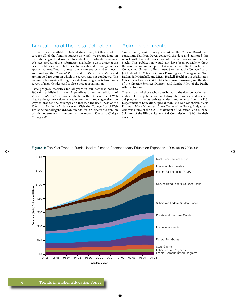### Limitations of the Data Collection

Precise data are available on federal student aid, but this is not the case for all of the funding sources on which we report. Data on institutional grant aid awarded to students are particularly lacking. We have used all of the information available to us to arrive at the best possible estimates, but these figures should be recognized as approximations. Data on grants from private sources and employers are based on the National Postsecondary Student Aid Study and are imputed for years in which the survey was not conducted. The volume of borrowing through private loan programs is based on a survey of major lenders and is also a best approximation.

Basic program statistics for all years in our database back to 1963-64, published in the Appendixes of earlier editions of Trends in Student Aid, are available on the College Board Web site. As always, we welcome reader comments and suggestions on ways to broaden the coverage and increase the usefulness of the Trends in Student Aid data series. Visit the College Board Web site at www.collegeboard.com/trends for an electronic version of this document and the companion report, Trends in College Pricing 2005.

### Acknowledgments

Sandy Baum, senior policy analyst at the College Board, and consultant Kathleen Payea collected the data and authored this report with the able assistance of research consultant Patricia Steele. This publication would not have been possible without the cooperation and support of Andre Bell and Kathleen Little of College and University Enrollment Services at the College Board; Ieff Hale of the Office of Grants Planning and Management; Tom Rudin, Sally Mitchell, and Micah Haskell-Hoehl of the Washington Office; Erin Thomas, Caitlin McClure, Anne Sussman, and the staff of the Creative Services Division; and Sandra Riley of the Public Affaire Division

Thanks to all of those who contributed to the data collection and update of this publication, including state agency and specialaid program contacts, private lenders, and experts from the U.S. Department of Education. Special thanks to Dan Madzelan, Maria Rojtman, Mary Miller, and Steve Carter of the Policy, Budget, and Analysis Office of the U.S. Department of Education; and Michael Solomon of the Illinois Student Aid Commission (ISAC) for their assistance.



Figure 1: Ten-Year Trend in Funds Used to Finance Postsecondary Education Expenses, 1994-95 to 2004-05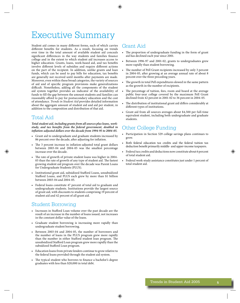### **Executive Summary**

Student aid comes in many different forms, each of which carries different benefits for students. As a result, focusing on trends over time in the total amount of available student aid conceals significant differences in the way students and families finance college and in the extent to which student aid increases access to higher education. Grants, loans, work-based aid, and tax benefits involve different levels of subsidies and require different actions on the part of the recipient. In addition, unlike grants and loan funds, which can be used to pay bills for education, tax benefits are generally not received until months after payments are made. Moreover, even within these broad categories, the variety of sources of aid and of specific program provisions make generalizations difficult. Nonetheless, adding all the components of the student aid system together provides an indicator of the availability of funds to fill the gap between the amount students and families can reasonably afford to pay for postsecondary education and the cost of attendance. Trends in Student Aid provides detailed information about the aggregate amount of student aid and aid per student, in addition to the composition and distribution of that aid.

### Total Aid

Total student aid, including grants from all sources plus loans, workstudy, and tax benefits from the federal government, doubled in inflation-adjusted dollars over the decade from 1994-95 to 2004-05.

- Grant aid to undergraduate and graduate students increased by 86 percent over the decade, after adjusting for inflation.
- The 3 percent increase in inflation-adjusted total grant dollars between 2003-04 and 2004-05 was the smallest percentage increase over the decade.
- The rate of growth of private student loans was higher in 2004-05 than the rate of growth of any type of student aid. The fastest growing student aid program over the decade was Parent Loans for Undergraduate Students (PLUS).
- Institutional grant aid, subsidized Stafford Loans, unsubsidized Stafford Loans, and PLUS each grew by more than \$1 billion between 2003-04 and 2004-05.
- Federal loans constitute 47 percent of total aid to graduate and undergraduate students. Institutions provide the largest source of grant aid, with discounts to students comprising 19 percent of student aid and 42 percent of all grant aid.

### **Student Borrowing**

- Increases in Stafford Loan volume over the past decade are the result of an increase in the number of loans issued, not increases in the constant dollar value of the loans.
- Graduate student borrowing is increasing more rapidly than undergraduate student borrowing.
- Between 2003-04 and 2004-05, the number of borrowers and the number of loans in the PLUS program grew more rapidly than the number in either Stafford student loan program. The unsubsidized Stafford Loan program grew more rapidly than the subsidized Stafford Loan program.
- Education loans from private lenders continue to grow relative to the federal loans provided through the student aid system.
- The typical student who borrows to finance a bachelor's degree graduates with less than \$20,000 in total debt.

### Grant Aid

- The proportion of undergraduate funding in the form of grant aid has declined each year since 2001.
- Between 1996-97 and 2001-02, grants to undergraduates grew more rapidly than student borrowing.
- The number of Pell Grant recipients increased by only 3 percent  $\bullet$ in 2004-05, after growing at an average annual rate of about 8 percent over the three preceding years.
- The growth in total Pell expenditures slowed in the same pattern as the growth in the number of recipients.
- The percentage of tuition, fees, room and board at the average public four-year college covered by the maximum Pell Grant declined from 42 percent in 2001-02 to 36 percent in 2004-05.
- The distribution of institutional grant aid differs considerably at different types of institutions.
- Grant aid from all sources averages about \$4,500 per full-time equivalent student, including both undergraduate and graduate students.

### **Other College Funding**

- Participation in Section 529 college savings plans continues to grow.
- Both federal education tax credits and the federal tuition tax deduction benefit primarily middle- and upper-income taxpayers.
- Federal tax credits and deductions now constitute about 6 percent of total student aid.
- Federal work-study assistance constitutes just under 1 percent of total student aid.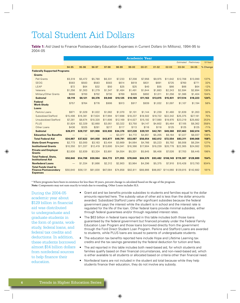## **Total Student Aid Dollars**

**Table 1:** Aid Used to Finance Postsecondary Education Expenses in Current Dollars (in Millions), 1994-95 to 2004-05

|                                                                               | <b>Academic Year</b> |          |          |          |          |           |           |           |                     |                     |             |             |  |  |
|-------------------------------------------------------------------------------|----------------------|----------|----------|----------|----------|-----------|-----------|-----------|---------------------|---------------------|-------------|-------------|--|--|
|                                                                               |                      |          |          |          |          |           |           |           |                     | Estimated           | Preliminary | $10$ -Year* |  |  |
|                                                                               | 94-95                | 95-96    | 96-97    | 97-98    | 98-99    | $99 - 00$ | $00 - 01$ | $01 - 02$ | $02 - 03$           | $03 - 04$           | $04 - 05$   | % Change    |  |  |
| <b>Federally Supported Programs</b>                                           |                      |          |          |          |          |           |           |           |                     |                     |             |             |  |  |
| <b>Grants</b>                                                                 |                      |          |          |          |          |           |           |           |                     |                     |             |             |  |  |
| <b>Pell Grants</b>                                                            | \$5,519              | \$5,472  | \$5,780  | \$6,331  | \$7,233  | \$7,208   | \$7,956   | \$9,975   | \$11,642            | \$12,708            | \$13,090    | 137%        |  |  |
| <b>SEOG</b>                                                                   | \$583                | \$583    | \$583    | \$583    | \$614    | \$619     | \$631     | \$691     | \$725               | \$760               | \$771       | 32%         |  |  |
| LEAP                                                                          | \$72                 | \$64     | \$32     | \$50     | \$25     | \$25      | \$40      | \$55      | \$66                | \$66                | \$64        | $-12%$      |  |  |
| Veterans                                                                      | \$1,256              | \$1,303  | \$1,279  | \$1,347  | \$1,484  | \$1,491   | \$1,644   | \$1,883   | \$2,243             | \$2,594             | \$2,894     | 130%        |  |  |
| Military/Other Grants                                                         | \$688                | \$700    | \$702    | \$730    | \$769    | \$826     | \$892     | \$1,011   | \$1,256             | \$1,386             | \$1,404     | 104%        |  |  |
| <b>Subtotal</b>                                                               | \$8,119              | \$8,121  | \$8,376  | \$9,040  | \$10.125 | \$10,169  | \$11.163  | \$13,615  | \$15,931            | \$17,514            | \$18,223    | 124%        |  |  |
| <b>Federal</b><br><b>Work-Study</b>                                           | \$757                | \$764    | \$776    | \$906    | \$913    | \$917     | \$939     | \$1,032   | \$1,097             | \$1,107             | \$1,194     | 58%         |  |  |
| Loans                                                                         |                      |          |          |          |          |           |           |           |                     |                     |             |             |  |  |
| Perkins Loans                                                                 | \$971                | \$1,029  | \$1,022  | \$1,062  | \$1,070  | \$1,101   | \$1,144   | \$1,239   | \$1,460             | \$1,639             | \$1,263     | 30%         |  |  |
| <b>Subsidized Stafford</b>                                                    | \$15,498             | \$16,381 | \$17,624 | \$17,994 | \$17,698 | \$18,237  | \$18,502  | \$19,722  | \$22,342            | \$25,375            | \$27,181    | 75%         |  |  |
| <b>Unsubsidized Stafford</b>                                                  | \$7,281              | \$8,674  | \$10,320 | \$11,606 | \$12,169 | \$14,027  | \$15,192  | \$17,080  | \$19,970            | \$23,219            | \$25,682    | 253%        |  |  |
| <b>PLUS</b>                                                                   | \$1,824              | \$2,329  | \$2,660  | \$3,051  | \$3,322  | \$3,750   | \$4,147   | \$4,602   | \$5,464             | \$7,105             | \$8,362     | 358%        |  |  |
| Other Loans                                                                   | \$436                | \$325    | \$281    | \$217    | \$117    | \$113     | \$116     | \$118     | \$125               | \$125               | \$125       | $-71%$      |  |  |
| <b>Subtotal</b>                                                               | \$26,011             | \$28,737 | \$31,906 | \$33,930 | \$34,376 | \$37,228  | \$39,101  | \$42,761  | \$49,360            | \$57,463            | \$62,614    | 141%        |  |  |
| <b>Education Tax Benefits</b>                                                 |                      | -        |          | -        | \$3,377  | \$4,772   | \$4,851   | \$5,205   | \$6,164             | \$7,227             | \$8,037     | 138%        |  |  |
| <b>Total Federal Aid</b>                                                      | \$34,887             | \$37,622 | \$41,058 | \$43,877 | \$48,791 | \$53,087  | \$56,054  | \$62,612  | \$72,554            | \$83,311            | \$90,068    | 158%        |  |  |
| <b>State Grant Programs</b>                                                   | \$2,773              | \$3,000  | \$3,163  | \$3,404  | \$3,669  | \$4,064   | \$4,766   | \$5,223   | \$5,792             | \$6,008             | \$6,294     | 127%        |  |  |
| <b>Institutional Grants</b>                                                   | \$10,350             | \$11,337 | \$12,419 | \$13,600 | \$14,941 | \$16,366  | \$17,904  | \$19,239  | \$20,778            | \$22,365            | \$24,082    | 133%        |  |  |
| <b>Private and Employer</b><br><b>Grants</b>                                  | \$2,830              | \$2,839  | \$3,324  | \$3,891  | \$4,554  | \$5,331   | \$5,845   | \$6,408   | \$7,026             | \$7,703             | \$8,445     | 198%        |  |  |
| <b>Total Federal, State,</b><br><b>Institutional Aid</b>                      | \$50,840             | \$54,798 | \$59,964 | \$64,772 | \$71,955 | \$78,848  | \$84,570  | \$93,482  | \$106,149 \$119,387 |                     | \$128,889   | 154%        |  |  |
| <b>Nonfederal Loans</b>                                                       |                      | \$1,334  | \$1,866  | \$2,312  | \$2,903  | \$3,964   | \$4,296   | \$5,375   | \$7,910             | \$10,428            | \$13,793    | 934%        |  |  |
| <b>Total Funds Used to</b><br><b>Finance Postsecondary</b><br><b>Expenses</b> | \$50,840             | \$56,131 | \$61,830 | \$67,084 | \$74,858 | \$82,811  | \$88,866  | \$98,857  |                     | \$114,060 \$129,815 | \$142,682   | 181%        |  |  |

\* Where programs have been in existence for less than 10 years, percent change is calculated based on the age of the program. Note: Components may not sum exactly to totals due to rounding. Other Loans includes SLS.

During the 2004-05 academic year about \$129 billion in financial aid was distributed to undergraduate and graduate students in the form of grants, workstudy, federal loans, and federal tax credits and deductions. In addition. these students borrowed almost \$14 billion dollars from nonfederal sources to help finance their education.

- Grant aid and tax benefits provide subsidies to students and families equal to the dollar amounts reported here. The subsidy value of other aid is less than the dollar amounts awarded. Subsidized Stafford Loans offer significant subsidies because the federal government pays the interest while the student is in school and the interest rate is regulated for the life of the loan. Other federal loans provide minimal subsidies, either through federal quarantees and/or through regulated interest rates.
- The \$63 billion in federal loans reported in this table includes both those loans guaranteed by the federal government but financed privately under the Federal Family Education Loan Program and those loans borrowed directly from the government through the Ford Direct Student Loan Program. Perkins and Stafford Loans are awarded to students, while PLUS loans are issued to parents of undergraduate students.
- The education tax benefits reported here include Hope and Lifetime Learning tax credits and the tax savings generated by the federal deduction for tuition and fees.
- $\bullet$ The aid reported in this table includes both need-based aid, for which students and families qualify based on their financial circumstances, and non-need-based aid, which is either available to all students or allocated based on criteria other than financial need.
- Nonfederal loans are not included in the student aid total because while they help students finance their education, they do not involve any subsidy.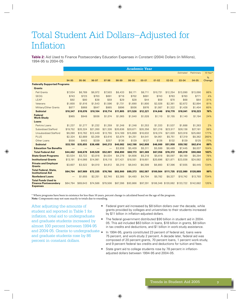## Total Student Aid Dollars-Adjusted for **Inflation**

Table 2: Aid Used to Finance Postsecondary Education Expenses in Constant (2004) Dollars (in Millions), 1994-95 to 2004-05

|                                                                               |          |          |          |                                  |          |          | <b>Academic Year</b> |           |                     |           |             |          |
|-------------------------------------------------------------------------------|----------|----------|----------|----------------------------------|----------|----------|----------------------|-----------|---------------------|-----------|-------------|----------|
|                                                                               |          |          |          |                                  |          |          |                      |           |                     | Estimated | Preliminary | 10-Year* |
|                                                                               |          |          |          |                                  |          |          |                      |           |                     |           |             | %        |
|                                                                               | 94-95    | 95-96    | 96-97    | 97-98                            | 98-99    | 99-00    | $00 - 01$            | $01 - 02$ | $02 - 03$           | $03 - 04$ | $04 - 05$   | Change   |
| <b>Federally Supported Programs</b>                                           |          |          |          |                                  |          |          |                      |           |                     |           |             |          |
| <b>Grants</b>                                                                 |          |          |          |                                  |          |          |                      |           |                     |           |             |          |
| <b>Pell Grants</b>                                                            | \$7,034  | \$6,789  | \$6,972  | \$7,503                          | \$8,433  | \$8,171  | \$8,711              | \$10,731  | \$12,254            | \$13,090  | \$13,090    | 86%      |
| <b>SEOG</b>                                                                   | \$743    | \$723    | \$703    | \$691                            | \$716    | \$702    | \$691                | \$743     | \$763               | \$783     | \$771       | 4%       |
| LEAP                                                                          | \$92     | \$80     | \$38     | \$59                             | \$29     | \$28     | \$44                 | \$59      | \$70                | \$68      | \$64        | $-31%$   |
| Veterans                                                                      | \$1,600  | \$1,616  | \$1,543  | \$1,596                          | \$1,731  | \$1,690  | \$1,800              | \$2,026   | \$2,361             | \$2,672   | \$2,894     | 81%      |
| Military/Other Grants                                                         | \$877    | \$868    | \$847    | \$865                            | \$896    | \$936    | \$976                | \$1,087   | \$1,322             | \$1,428   | \$1,404     | 60%      |
| <b>Subtotal</b>                                                               | \$10,347 | \$10,076 | \$10,104 | \$10,714                         | \$11,805 | \$11,526 | \$12,221             | \$14,646  | \$16,770            | \$18,041  | \$18,223    | 76%      |
| <b>Federal</b><br><b>Work-Study</b>                                           | \$965    | \$948    | \$936    | \$1.074                          | \$1,065  | \$1,040  | \$1,028              | \$1,110   | \$1,155             | \$1,140   | \$1,194     | 24%      |
| Loans                                                                         |          |          |          |                                  |          |          |                      |           |                     |           |             |          |
| <b>Perkins Loans</b>                                                          | \$1,237  | \$1,277  | \$1,232  | \$1,259                          | \$1,248  | \$1,248  | \$1,253              | \$1,333   | \$1,537             | \$1,688   | \$1,263     | 2%       |
| Subsidized Stafford                                                           | \$19,752 | \$20,324 | \$21,260 | \$21,326                         | \$20,636 | \$20,671 | \$20,256             | \$21,216  | \$23.517            | \$26,138  | \$27,181    | 38%      |
| <b>Unsubsidized Stafford</b>                                                  | \$9,280  | \$10,762 | \$12,449 | \$13,755                         | \$14,189 | \$15,899 | \$16,632             | \$18,374  | \$21,020            | \$23,918  | \$25,682    | 177%     |
| <b>PLUS</b>                                                                   | \$2,324  | \$2,889  | \$3,209  | \$3,616                          | \$3,874  | \$4,251  | \$4,541              | \$4,951   | \$5,751             | \$7,319   | \$8,362     | 260%     |
| Other Loans                                                                   | \$556    | \$403    | \$339    | \$257                            | \$136    | \$129    | \$127                | \$126     | \$132               | \$129     | \$125       | $-77%$   |
| <b>Subtotal</b>                                                               | \$33,150 | \$35,655 | \$38,488 | \$40,213                         | \$40,082 | \$42,198 | \$42,808             | \$46,000  | \$51,958            | \$59,192  | \$62,614    | 89%      |
| <b>Education Tax Benefits</b>                                                 |          |          |          | $\overbrace{\phantom{12322111}}$ | \$3,938  | \$5,409  | \$5,311              | \$5,599   | \$6,489             | \$7,445   | \$8,037     | 104%     |
| <b>Total Federal Aid</b>                                                      | \$44,462 | \$46,678 | \$49,528 | \$52,001                         | \$56,890 | \$60,173 | \$61,369             | \$67,356  | \$76,372            | \$85,818  | \$90,068    | 103%     |
| <b>State Grant Programs</b>                                                   | \$3,534  | \$3,722  | \$3,816  | \$4,034                          | \$4,278  | \$4,606  | \$5,218              | \$5,618   | \$6,097             | \$6,189   | \$6,294     | 78%      |
| <b>Institutional Grants</b>                                                   | \$13,191 | \$14,066 | \$14,981 | \$16,118                         | \$17,421 | \$18,551 | \$19,601             | \$20,696  | \$21,871            | \$23,038  | \$24,082    | 83%      |
| <b>Private and Employer</b><br><b>Grants</b>                                  | \$3,607  | \$3,522  | \$4,010  | \$4,612                          | \$5,310  | \$6,043  | \$6,399              | \$6,893   | \$7,396             | \$7,935   | \$8,445     | 134%     |
| <b>Total Federal, State,</b><br><b>Institutional Aid</b>                      | \$64,794 | \$67,989 | \$72,335 | \$76,766                         | \$83,900 | \$89,373 | \$92,587             | \$100,564 | \$111,735           | \$122,980 | \$128,889   | 99%      |
| <b>Nonfederal Loans</b>                                                       |          | \$1,655  | \$2,251  | \$2,740                          | \$3,385  | \$4,493  | \$4,704              | \$5,782   | \$8,327             | \$10,742  | \$13,793    | 734%     |
| <b>Total Funds Used to</b><br><b>Finance Postsecondary</b><br><b>Expenses</b> | \$64,794 | \$69,643 | \$74,586 | \$79,506                         | \$87,286 | \$93,866 | \$97,291             |           | \$106.346 \$120.062 | \$133,722 | \$142,682   | 120%     |

\* Where programs have been in existence for less than 10 years, percent change is calculated based on the age of the program. Note: Components may not sum exactly to totals due to rounding.

After adjusting the amounts of student aid reported in Table 1 for inflation, total aid to undergraduate and graduate students increased by almost 100 percent between 1994-95 and 2004-05. Grants to undergraduate. and graduate students rose by 86 percent in constant dollars.

- Federal grant aid increased by \$8 billion dollars over the decade, while grants provided by colleges and universities to their students increased by \$11 billion in inflation-adjusted dollars.
- The federal government distributed \$90 billion in student aid in 2004-05. This aid included \$63 billion in loans, \$18 billion in grants, \$8 billion in tax credits and deductions, and \$1 billion in work-study assistance.
- In 1994-95, grants constituted 23 percent of federal aid, loans were 75 percent, and work-study 2 percent. A decade later, federal aid was composed of 20 percent grants, 70 percent loans, 1 percent work-study, and 9 percent federal tax credits and deductions for tuition and fees.
- State grant aid to college students rose by 78 percent in inflationadjusted dollars between 1994-95 and 2004-05.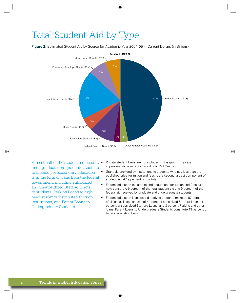### Total Student Aid by Type

**Figure 2:** Estimated Student Aid by Source for Academic Year 2004-05 in Current Dollars (in Billions)



Almost half of the student aid used by  $\bullet$ undergraduate and graduate students to finance postsecondary education is in the form of loans from the federal government, including subsidized and unsubsidized Stafford Loans to students, Perkins Loans to highneed students distributed through institutions, and Parent Loans to Undergraduate Students.

- Private student loans are not included in this graph. They are approximately equal in dollar value to Pell Grants.
- Grant aid provided by institutions to students who pay less than the published price for tuition and fees is the second largest component of student aid at 19 percent of the total.
- Federal education tax credits and deductions for tuition and fees paid now constitute 6 percent of the total student aid and 9 percent of the federal aid received by graduate and undergraduate students.
- Federal education loans paid directly to students make up 87 percent of all loans. These consist of 43 percent subsidized Stafford Loans, 41 percent unsubsidized Stafford Loans, and 3 percent Perkins and other loans. Parent Loans to Undergraduate Students constitute 13 percent of federal education loans.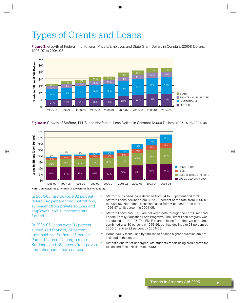# Types of Grants and Loans

**Figure 3:** Growth of Federal, Institutional, Private/Employer, and State Grant Dollars in Constant (2004) Dollars, 1996-97 to 2004-05



Figure 4: Growth of Stafford, PLUS, and Nonfederal Loan Dollars in Constant (2004) Dollars, 1996-97 to 2004-05



Note: Components may not sum to 100 percent due to rounding.

In 2004-05, grants were 32 percent federal, 42 percent from institutions, 15 percent from private sources and employers, and 11 percent state funded.

In 2004-05, loans were 36 percent subsidized Stafford, 34 percent unsubsidized Stafford, 11 percent Parent Loans to Undergraduate Students, and 18 percent from private and other nonfederal sources.

- Stafford subsidized loans declined from 54 to 36 percent and total  $\bullet$ Stafford Loans declined from 86 to 70 percent of the total from 1996-97 to 2004-05. Nonfederal loans increased from 6 percent of the total in 1996-97 to 18 percent in 2004-05.
- Stafford Loans and PLUS are delivered both through the Ford Direct and Federal Family Education Loan Programs. The Direct Loan program was introduced in 1994-95. The FDLP share of loans from the two programs combined was 30 percent in 1995-96, but had declined to 28 percent by 2000-01 and to 22 percent by 2004-05.
- Home equity loans used by families to finance higher education are not included in this report.
- Almost a quarter of undergraduate students report using credit cards for tuition and fees. (Nellie Mae, 2005)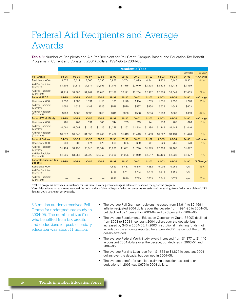## **Federal Aid Recipients and Average** Awards

Table 3: Number of Recipients and Aid Per Recipient for Pell Grant, Campus-Based, and Education Tax Benefit Programs in Current and Constant (2004) Dollars, 1994-95 to 2004-05

|                                                 |         |         |         |                   |         |           | <b>Academic Year</b> |           |           |           |           |             |
|-------------------------------------------------|---------|---------|---------|-------------------|---------|-----------|----------------------|-----------|-----------|-----------|-----------|-------------|
|                                                 |         |         |         |                   |         |           |                      |           |           |           | Estimated | $10$ -year* |
| <b>Pell Grants</b>                              | 94-95   | 95-96   | 96-97   | 97-98             | 98-99   | $99 - 00$ | $00 - 01$            | $01 - 02$ | $02 - 03$ | $03 - 04$ | $04 - 05$ | % Change    |
| Recipients (000)                                | 3,675   | 3,612   | 3.666   | 3,733             | 3,855   | 3.764     | 3,899                | 4.341     | 4,779     | 5.140     | 5,302     | 44%         |
| <b>Aid Per Recipient</b><br>(Current)           | \$1,502 | \$1,515 | \$1,577 | \$1,696           | \$1,876 | \$1,915   | \$2,040              | \$2,298   | \$2,436   | \$2,473   | \$2,469   |             |
| <b>Aid Per Recipient</b><br>(Constant)          | \$1,914 | \$1,880 | \$1,902 | \$2,010           | \$2,188 | \$2,171   | \$2,234              | \$2,472   | \$2,564   | \$2,547   | \$2,469   | 29%         |
| <b>Federal SEOG</b>                             | 94-95   | 95-96   | 96-97   | 97-98             | 98-99   | $99-00$   | $00 - 01$            | $01 - 02$ | $02 - 03$ | $03 - 04$ | $04 - 05$ | % Change    |
| Recipients (000)                                | 1,057   | 1,083   | 1,191   | 1,116             | 1,163   | 1,170     | 1,174                | 1,295     | 1,355     | 1,390     | 1,278     | 21%         |
| <b>Aid Per Recipient</b><br>(Current)           | \$552   | \$538   | \$489   | \$523             | \$528   | \$529     | \$537                | \$534     | \$535     | \$547     | \$603     |             |
| <b>Aid Per Recipient</b><br>(Constant)          | \$703   | \$668   | \$590   | \$619             | \$616   | \$600     | \$588                | \$574     | \$563     | \$563     | \$603     | $-14%$      |
| <b>Federal Work-Study</b>                       | 94-95   | 95-96   | 96-97   | 97-98             | 98-99   | $99 - 00$ | $00 - 01$            | $01 - 02$ | $02 - 03$ | $03 - 04$ | $04 - 05$ | % Change    |
| Recipients (000)                                | 701     | 702     | 691     | 746               | 744     | 733       | 713                  | 741       | 759       | 765       | 826       | 18%         |
| <b>Aid Per Recipient</b><br>(Current)           | \$1,081 | \$1,087 | \$1,123 | \$1,215           | \$1,228 | \$1,252   | \$1,318              | \$1,394   | \$1,446   | \$1,447   | \$1,446   |             |
| <b>Aid Per Recipient</b><br>(Constant)          | \$1,377 | \$1,349 | \$1,355 | \$1,440           | \$1,432 | \$1,419   | \$1,443              | \$1,499   | \$1,522   | \$1,491   | \$1,446   | 5%          |
| <b>Federal Perkins</b>                          | 94-95   | 95-96   | 96-97   | 97-98             | 98-99   | $99-00$   | $00 - 01$            | $01 - 02$ | $02 - 03$ | $03 - 04$ | $04 - 05$ | % Change    |
| Recipients (000)                                | 663     | 688     | 674     | 679               | 669     | 655       | 639                  | 661       | 729       | 756       | 673       | $1\%$       |
| <b>Aid Per Recipient</b><br>(Current)           | \$1,464 | \$1,496 | \$1,515 | \$1,564           | \$1,600 | \$1,681   | \$1,790              | \$1,875   | \$2,003   | \$2,166   | \$1,877   |             |
| <b>Aid Per Recipient</b><br>(Constant)          | \$1,865 | \$1,856 | \$1,828 | \$1,853           | \$1,866 | \$1,905   | \$1,959              | \$2,017   | \$2,109   | \$2,232   | \$1,877   | 1%          |
| <b>Federal Education Tax</b><br><b>Benefits</b> | 94-95   | 95-96   | 96-97   | 97-98             | 98-99   | $99-00$   | $00 - 01$            | $01 - 02$ | $02 - 03$ | $03 - 04$ | $04 - 05$ | % Change*   |
| Recipients (000)                                |         |         |         | —                 | 4,653   | 6,437     | 6,815                | 7,282     | 10,002    | 10,962    | N/A       | 136%        |
| <b>Aid Per Recipient</b><br>(Current)           |         |         |         | $\qquad \qquad -$ | \$726   | \$741     | \$712                | \$715     | \$616     | \$659     | N/A       |             |
| <b>Aid Per Recipient</b><br>(Constant)          |         |         |         |                   | \$846   | \$840     | \$779                | \$769     | \$649     | \$679     | N/A       | $-20%$      |

\* Where programs have been in existence for less than 10 years, percent change is calculated based on the age of the program.

Note: Education tax credit amounts equal the dollar value of the credits; tax deduction amounts are estimated tax savings from deductions claimed. IRS data for 2004-05 are not yet available.

5.3 million students received Pell Grants for undergraduate study in 2004-05. The number of tax filers who benefited from tax credits and deductions for postsecondary education was about 11 million.

- The average Pell Grant per recipient increased from \$1,914 to \$2,469 in inflation-adjusted 2004 dollars over the decade from 1994-95 to 2004-05, but declined by 1 percent in 2003-04 and by 3 percent in 2004-05.
- The average Supplemental Education Opportunity Grant (SEOG) declined from \$703 to \$603 in constant 2004 dollars over the decade, but increased by \$40 in 2004-05. In 2003, institutional matching funds (not included in the amounts reported here) provided 21 percent of the SEOG dollars awarded.
- The average Federal Work-Study award increased from \$1,377 to \$1,446 in constant 2004 dollars over the decade, but declined in 2003-04 and 2004-05.
- The average Perkins Loan rose from \$1,865 to \$1,877 in constant 2004 dollars over the decade, but declined in 2004-05.
- The average benefit for tax filers claiming education tax credits or deductions in 2003 was \$679 in 2004 dollars.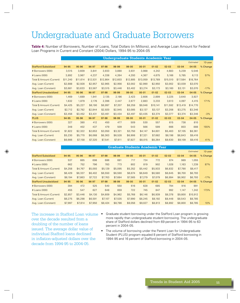## **Undergraduate and Graduate Borrowers**

Table 4: Number of Borrowers, Number of Loans, Total Dollars (in Millions), and Average Loan Amount for Federal Loan Programs in Current and Constant (2004) Dollars, 1994-95 to 2004-05

|                                  |          |          |          |          |          |           |           | <b>Undergraduate Students Academic Year</b> |           |           |           |          |
|----------------------------------|----------|----------|----------|----------|----------|-----------|-----------|---------------------------------------------|-----------|-----------|-----------|----------|
|                                  |          |          |          |          |          |           |           |                                             |           |           | Estimated | 10-year  |
| <b>Stafford Subsidized</b>       | 94-95    | 95-96    | 96-97    | 97-98    | 98-99    | $99 - 00$ | $00 - 01$ | $01 - 02$                                   | $02 - 03$ | $03 - 04$ | $04 - 05$ | % Change |
| # Borrowers (000)                | 3,515    | 3,609    | 3,841    | 3,933    | 3,880    | 3,931     | 3,988     | 4,242                                       | 4,683     | 5,239     | 5,546     |          |
| # Loans (000)                    | 3,892    | 3,967    | 4,237    | 4,338    | 4,264    | 4,293     | 4,367     | 4,675                                       | 5,166     | 5,785     | 6,113     | 57%      |
| Total \$ Amount (Current)        | \$11,240 | \$11,614 | \$12,531 | \$12,864 | \$12,603 | \$12,885  | \$13,059  | \$13,789                                    | \$15,510  | \$17,584  | \$18,764  |          |
| Avg. Loan (Current)              | \$2,888  | \$2,928  | \$2,957  | \$2,965  | \$2,956  | \$3,002   | \$2,990   | \$2,950                                     | \$3,002   | \$3,039   | \$3,070   |          |
| Avg. Loan (Constant)             | \$3,681  | \$3,633  | \$3,567  | \$3,515  | \$3,446  | \$3,402   | \$3,274   | \$3,173                                     | \$3,160   | \$3,131   | \$3,070   | $-17%$   |
| <b>Stafford Unsubsidized</b>     | 94-95    | 95-96    | 96-97    | 97-98    | 98-99    | $99 - 00$ | $00 - 01$ | $01 - 02$                                   | $02 - 03$ | 03-04     | 04-05     | % Change |
| # Borrowers (000)                | 1,469    | 1,689    | 1,941    | 2,135    | 2,186    | 2,423     | 2,606     | 2,899                                       | 3,225     | 3,640     | 3,927     |          |
| # Loans (000)                    | 1,632    | 1,879    | 2,176    | 2,396    | 2,447    | 2,677     | 2,883     | 3,233                                       | 3,613     | 4,097     | 4,415     | 171%     |
| Total \$ Amount (Current)        | \$4,425  | \$5,227  | \$6,190  | \$6,997  | \$7,207  | \$8,259   | \$9,046   | \$10,141                                    | \$11,592  | \$13,419  | \$14,770  |          |
| Avg. Loan (Current)              | \$2,712  | \$2,782  | \$2,844  | \$2,920  | \$2,945  | \$3,085   | \$3,137   | \$3,137                                     | \$3,208   | \$3,275   | \$3,346   |          |
| Avg. Loan (Constant)             | \$3,456  | \$3,452  | \$3,431  | \$3,461  | \$3,434  | \$3,497   | \$3,435   | \$3,374                                     | \$3,377   | \$3,374   | \$3,346   | $-3%$    |
| <b>PLUS</b>                      | 94-95    | 95-96    | 96-97    | 97-98    | 98-99    | $99 - 00$ | $00 - 01$ | $01 - 02$                                   | $02 - 03$ | $03 - 04$ | $04 - 05$ | % Change |
| # Borrowers (000)                | 327      | 380      | 412      | 450      | 477      | 509       | 530       | 557                                         | 615       | 738       | 810       |          |
| # Loans (000)                    | 348      | 402      | 437      | 479      | 509      | 543       | 566       | 599                                         | 666       | 803       | 888       | 155%     |
| <b>Total \$ Amount (Current)</b> | \$1,822  | \$2,322  | \$2,653  | \$3,050  | \$3,321  | \$3,750   | \$4,147   | \$4,601                                     | \$5,463   | \$7,105   | \$8,361   |          |
| Avg. Loan (Current)              | \$5,230  | \$5,770  | \$6,068  | \$6,363  | \$6,528  | \$6,906   | \$7,321   | \$7,682                                     | \$8,198   | \$8,843   | \$9,416   |          |
| Avg. Loan (Constant)             | \$6,666  | \$7,158  | \$7,320  | \$7,541  | \$7,611  | \$7,827   | \$8,015   | \$8,264                                     | \$8,630   | \$9,109   | \$9,416   | 41%      |

|                              |         |         |         |         |         | Grauuate Students Academic Tear |           |           |           |           |                  |            |
|------------------------------|---------|---------|---------|---------|---------|---------------------------------|-----------|-----------|-----------|-----------|------------------|------------|
|                              |         |         |         |         |         |                                 |           |           |           |           | <b>Estimated</b> | $10$ -year |
| <b>Stafford Subsidized</b>   | 94-95   | 95-96   | 96-97   | 97-98   | 98-99   | $99 - 00$                       | $00 - 01$ | $01 - 02$ | $02 - 03$ | $03 - 04$ | $04 - 05$        | % Change   |
| # Borrowers (000)            | 537     | 665     | 698     | 686     | 681     | 717                             | 724       | 772       | 874       | 989       | 1,055            |            |
| # Loans (000)                | 662     | 752     | 796     | 783     | 773     | 802                             | 819       | 902       | 1,028     | 1,163     | 1,239            | 87%        |
| Total \$ Amount (Current)    | \$4,258 | \$4,767 | \$5,093 | \$5,129 | \$5,095 | \$5,352                         | \$5,442   | \$5,933   | \$6,832   | \$7,790   | \$8,417          |            |
| Avg. Loan (Current)          | \$6,429 | \$6,337 | \$6,402 | \$6,550 | \$6,590 | \$6,674                         | \$6,649   | \$6,580   | \$6,645   | \$6,700   | \$6,793          |            |
| Avg. Loan (Constant)         | \$8,194 | \$7,863 | \$7,722 | \$7,763 | \$7,684 | \$7,565                         | \$7,279   | \$7,079   | \$6,994   | \$6,902   | \$6,793          | $-17%$     |
| <b>Stafford Unsubsidized</b> | 94-95   | 95-96   | 96-97   | 97-98   | 98-99   | $99 - 00$                       | $00 - 01$ | $01 - 02$ | $02 - 03$ | $03 - 04$ | $04 - 05$        | % Change   |
| # Borrowers (000)            | 394     | 472     | 525     | 540     | 550     | 616                             | 628       | 685       | 794       | 916       | 991              |            |
| $#$ Loans $(000)$            | 455     | 547     | 627     | 648     | 659     | 722                             | 745       | 847       | 992       | 1,147     | 1,242            | 173%       |
| Total \$ Amount (Current)    | \$2,857 | \$3,446 | \$4,130 | \$4,609 | \$4,962 | \$5,768                         | \$6,146   | \$6,939   | \$8,378   | \$9,800   | \$10,912         |            |
| Avg. Loan (Current)          | \$6,275 | \$6,298 | \$6,591 | \$7,107 | \$7,535 | \$7,990                         | \$8,245   | \$8,192   | \$8,448   | \$8,543   | \$8,785          |            |
| Avg. Loan (Constant)         | \$7,997 | \$7,814 | \$7,950 | \$8,424 | \$8,786 | \$9,056                         | \$9,027   | \$8,813   | \$8,892   | \$8,800   | \$8,785          | 10%        |

The increase in Stafford Loan volume • over the decade resulted from a doubling of the number of loans issued. The average dollar value of individual Stafford loans declined in inflation-adjusted dollars over the decade from 1994-95 to 2004-05.

- Graduate student borrowing under the Stafford Loan program is growing more rapidly than undergraduate student borrowing. The undergraduate share of Stafford dollars declined from 69 percent in 1994-95 to 63 percent in 2004-05.
- The volume of borrowing under the Parent Loan for Undergraduate Student (PLUS) program equaled 8 percent of Stafford borrowing in 1994-95 and 16 percent of Stafford borrowing in 2004-05.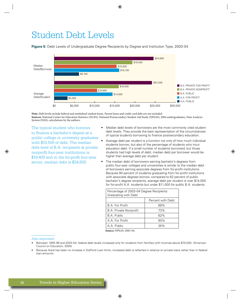### Student Debt Levels

**Figure 5:** Debt Levels of Undergraduate Degree Recipients by Degree and Institution Type, 2003-04



**Note:** Debt levels include federal and nonfederal student loans. Parent loans and credit card debt are not included. **Sources:** National Center for Education Statistics (NCES), National Postsecondary Student Aid Study (NPSAS), 2004 undergraduates, Data Analysis System (DAS); calculations by the authors.

The typical student who borrows to finance a bachelor's degree at a public college or university graduates with \$15,500 of debt. The median debt level of B.A. recipients at private nonprofit four-year institutions is \$19,400 and in the for-profit four-year sector, median debt is \$24,600.

- Median debt levels of borrowers are the most commonly cited student debt levels. They provide the best representation of the circumstances of typical students borrowing to finance postsecondary education.
- Average debt per student is a function not only of how much individual students borrow, but also of the percentage of students who incur education debt. If a small number of students borrowed, but those students had high levels of debt, median debt per borrower would be higher than average debt per student.
- The median debt of borrowers earning bachelor's degrees from public four-year colleges and universities is similar to the median debt of borrowers earning associate degrees from for-profit institutions. Because 90 percent of students graduating from for-profit institutions with associate degrees borrow, compared to 62 percent of public bachelor's degree recipients, average debt per student is over \$14,000 for for-profit A.A. students but under \$11,000 for public B.A. students.

| Percentage of 2003-04 Degree Recipients<br>Graduating with Debt |                   |
|-----------------------------------------------------------------|-------------------|
|                                                                 | Percent with Debt |
| B.A. For Profit                                                 | 88%               |
| <b>B.A. Private Nonprofit</b>                                   | 73%               |
| B.A. Public                                                     | 62%               |
| A.A. For Profit                                                 | 90%               |
| A.A. Public                                                     | 35%               |

 **Source:** NPSAS: 2003-04.

*Also important:*

- Between 1995-96 and 2003-04, federal debt levels increased only for students from families with incomes above \$70,000. (American Council on Education, 2005)
- Because there has been no increase in Stafford Loan limits, increased debt is reflected in reliance on private loans rather than in federal loan amounts.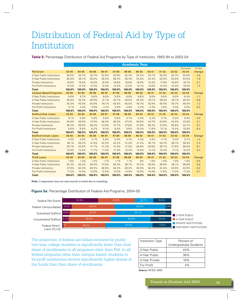# Distribution of Federal Aid by Type of Institution

Table 5: Percentage Distribution of Federal Aid Programs by Type of Institution, 1993-94 to 2003-04

|                                |        |        |        |        |        | <b>Academic Year</b> |           |           |           |           |           |         |
|--------------------------------|--------|--------|--------|--------|--------|----------------------|-----------|-----------|-----------|-----------|-----------|---------|
|                                |        |        |        |        |        |                      |           |           |           |           | Estimated | 10-Year |
| <b>Pell Grant</b>              | 93-94  | 94-95  | 95-96  | 96-97  | 97-98  | 98-99                | $99 - 00$ | $00 - 01$ | $01 - 02$ | $02 - 03$ | $03 - 04$ | Change  |
| 2-Year Public Institutions     | 30.0%  | 32.7%  | 32.7%  | 33.0%  | 32.8%  | 32.4%                | 33.4%     | 33.7%     | 35.0%     | 34.7%     | 32.8%     | 2.8     |
| 4-Year Public Institutions     | 35.9%  | 35.1%  | 36.0%  | 36.0%  | 36.4%  | 36.4%                | 34.8%     | 34.4%     | 33.0%     | 33.0%     | 34.0%     | $-1.8$  |
| <b>Private Institutions</b>    | 18.8%  | 19.0%  | 18.8%  | 18.5%  | 18.6%  | 18.6%                | 18.6%     | 18.3%     | 17.9%     | 16.9%     | 16.7%     | $-2.1$  |
| <b>For-Profit Institutions</b> | 15.3%  | 13.2%  | 12.5%  | 12.5%  | 12.2%  | 12.5%                | 13.1%     | 13.6%     | 14.2%     | 15.4%     | 16.5%     | 1.2     |
| <b>Total</b>                   | 100.0% | 100.0% | 100.0% | 100.0% | 100.0% | 100.0%               | 100.0%    | 100.0%    | 100.0%    | 100.0%    | 100.0%    |         |
| <b>Campus-Based Programs</b>   | 93-94  | 94-95  | 95-96  | 96-97  | 97-98  | 98-99                | $99-00$   | $00 - 01$ | $01 - 02$ | $02 - 03$ | 03-04     | Change  |
| 2-Year Public Institutions     | 9.6%   | 9.7%   | 9.6%   | 9.8%   | 9.9%   | 9.9%                 | 9.8%      | 9.8%      | 9.8%      | 9.0%      | 8.5%      | $-1.1$  |
| 4-Year Public Institutions     | 40.0%  | 40.4%  | 40.9%  | 41.1%  | 40.7%  | 40.5%                | 40.3%     | 40.1%     | 39.4%     | 40.1%     | 39.4%     | $-0.6$  |
| <b>Private Institutions</b>    | 45.3%  | 45.5%  | 45.6%  | 45.1%  | 45.5%  | 45.5%                | 45.7%     | 45.9%     | 46.0%     | 45.7%     | 46.5%     | 1.2     |
| <b>For-Profit Institutions</b> | 5.1%   | 4.4%   | 4.0%   | 4.1%   | 3.9%   | 4.0%                 | 4.2%      | 4.2%      | 4.8%      | 5.3%      | 5.6%      | 0.5     |
| <b>Total</b>                   | 100.0% | 100.0% | 100.0% | 100.0% | 100.0% | 100.0%               | 100.0%    | 100.0%    | 100.0%    | 100.0%    | 100.0%    |         |
| <b>Stafford Sub. Loans</b>     | 93-94  | 94-95  | 95-96  | 96-97  | 97-98  | 98-99                | $99 - 00$ | $00 - 01$ | $01 - 02$ | $02 - 03$ | 03-04     | Change  |
| 2-Year Public Institutions     | 6.1%   | 5.9%   | 5.8%   | 5.8%   | 5.8%   | 5.7%                 | 5.5%      | 5.4%      | 5.7%      | 6.3%      | 6.6%      | 0.5     |
| 4-Year Public Institutions     | 45.9%  | 46.5%  | 47.5%  | 48.0%  | 48.0%  | 47.2%                | 45.6%     | 44.7%     | 43.6%     | 43.5%     | 42.8%     | $-3.1$  |
| <b>Private Institutions</b>    | 38.4%  | 38.9%  | 38.4%  | 37.8%  | 37.7%  | 37.6%                | 37.9%     | 38.2%     | 37.6%     | 35.8%     | 34.7%     | $-3.7$  |
| <b>For-Profit Institutions</b> | 9.5%   | 8.8%   | 8.2%   | 8.4%   | 8.5%   | 9.6%                 | 10.4%     | 11.8%     | 13.1%     | 14.4%     | 15.9%     | 6.4     |
| <b>Total</b>                   | 100.0% | 100.0% | 100.0% | 100.0% | 100.0% | 100.0%               | 100.0%    | 100.0%    | 100.0%    | 100.0%    | 100.0%    |         |
| <b>Stafford Unsub, Loans</b>   | 93-94  | 94-95  | 95-96  | 96-97  | 97-98  | 98-99                | 99-00     | $00 - 01$ | $01 - 02$ | $02 - 03$ | 03-04     | Change  |
| 2-Year Public Institutions     | 4.3%   | 4.9%   | 5.1%   | 5.0%   | 5.0%   | 4.7%                 | 4.4%      | 4.4%      | 4.7%      | 5.3%      | 5.7%      | 1.4     |
| 4-Year Public Institutions     | 36.1%  | 39.2%  | 41.5%  | 42.3%  | 42.2%  | 41.5%                | 41.2%     | 40.7%     | 40.2%     | 39.7%     | 38.5%     | 2.4     |
| <b>Private Institutions</b>    | 45.7%  | 43.0%  | 41.7%  | 41.2%  | 41.5%  | 41.5%                | 40.6%     | 40.8%     | 39.7%     | 37.9%     | 36.6%     | $-9.1$  |
| <b>For-Profit Institutions</b> | 13.9%  | 12.9%  | 11.7%  | 11.5%  | 11.3%  | 12.4%                | 12.9%     | 14.1%     | 15.4%     | 17.1%     | 19.2%     | 5.3     |
| <b>Total</b>                   | 100.0% | 100.0% | 100.0% | 100.0% | 100.0% | 100.0%               | 100.0%    | 100.0%    | 100.0%    | 100.0%    | 100.0%    |         |
| <b>PLUS Loans</b>              | 93-94  | 94-95  | 95-96  | 96-97  | 97-98  | 98-99                | $99 - 00$ | $00 - 01$ | $01 - 02$ | $02 - 03$ | $03 - 04$ | Change  |
| 2-Year Public Institutions     | 1.6%   | 1.2%   | 1.2%   | 1.1%   | 1.1%   | 1.1%                 | .9%       | 1.0%      | 1.0%      | 1.0%      | 1.0%      | $-0.6$  |
| 4-Year Public Institutions     | 33.3%  | 35.2%  | 36.9%  | 37.5%  | 38.3%  | 38.7%                | 37.3%     | 35.9%     | 36.8%     | 38.1%     | 38.9%     | 5.6     |
| <b>Private Institutions</b>    | 47.9%  | 50.3%  | 49.3%  | 48.9%  | 48.2%  | 46.3%                | 45.9%     | 46.2%     | 44.4%     | 43.5%     | 42.9%     | $-5.0$  |
| <b>For-Profit Institutions</b> | 17.3%  | 13.4%  | 12.6%  | 12.5%  | 12.5%  | 14.0%                | 15.9%     | 16.9%     | 17.8%     | 17.4%     | 17.2%     | $-0.1$  |
| <b>Total</b>                   | 100.0% | 100.0% | 100.0% | 100.0% | 100.0% | 100.0%               | 100.0%    | 100.0%    | 100.0%    | 100.0%    | 100.0%    |         |

Note: Components may not sum exactly to totals due to rounding.

#### Figure 5a: Percentage Distribution of Federal Aid Programs, 2004-05



The proportion of federal aid dollars received by public two-year college students is significantly lower than their share of enrollments in all programs other than Pell. In all federal programs other than campus based, students in for-profit institutions receive significantly higher shares of the funds than their share of enrollments.

| Institution Type  | Percent of<br>Undergraduate Students |
|-------------------|--------------------------------------|
| 2-Year Public     | 44%                                  |
| 4-Year Public     | 36%                                  |
| 4-Year Private    | 16%                                  |
| For Profit        | 4%                                   |
| $\alpha$ $\alpha$ |                                      |

**Source: NCES. 2005.**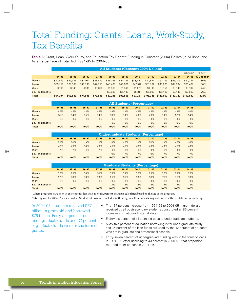## Total Funding: Grants, Loans, Work-Study, **Tax Benefits**

Table 6: Grant, Loan, Work-Study, and Education Tax Benefit Funding in Constant (2004) Dollars (in Millions) and As a Percentage of Total Aid, 1994-95 to 2004-05

|                  | All Students (Constant 2004 Dollars) |          |          |          |          |          |           |           |           |                     |           |                |  |
|------------------|--------------------------------------|----------|----------|----------|----------|----------|-----------|-----------|-----------|---------------------|-----------|----------------|--|
|                  |                                      |          |          |          |          |          |           |           |           |                     | Estimated | $10$ -vear $*$ |  |
|                  | 94-95                                | 95-96    | 96-97    | 97-98    | 98-99    | $99-00$  | $00 - 01$ | 0102      | 02.03     | $03 - 04$           | $04 - 05$ | % Change*      |  |
| Grants           | \$30,679                             | \$31,386 | \$32,911 | \$35,479 | \$38,815 | \$40,726 | \$43,440  | \$47,854  | \$52,133  | \$55,203            | \$57,044  | 86%            |  |
| Loans            | \$33,150                             | \$37,309 | \$40,739 | \$42,953 | \$43,468 | \$46,691 | \$47,512  | \$51,782  | \$60,285  | \$69,934            | \$76,407  | 130%           |  |
| Work             | \$965                                | \$948    | \$936    | \$1,074  | \$1,065  | \$1,040  | \$1,028   | \$1,110   | \$1.155   | \$1.140             | \$1,194   | 24%            |  |
| Ed. Tax Benefits |                                      |          |          |          | \$3,938  | \$5,409  | \$5,311   | \$5,599   | \$6,489   | \$7,445             | \$8,037   | 76%            |  |
| <b>Total</b>     | \$64,794                             | \$69,643 | \$74,586 | \$79,506 | \$87,286 | \$93,866 | \$97,291  | \$106,346 | \$120,062 | \$133,722 \$142,682 |           | 120%           |  |

|                         | <b>All Students (Percentage)</b> |       |       |       |       |       |           |       |       |       |           |  |  |
|-------------------------|----------------------------------|-------|-------|-------|-------|-------|-----------|-------|-------|-------|-----------|--|--|
|                         | 94 95                            | 95 96 | 96 97 | 97-98 | 98 99 | 99 00 | $00 - 01$ | 0102  | 02.03 | 03 04 | $04 - 05$ |  |  |
| Grants                  | 47%                              | 45%   | 44%   | 45%   | 44%   | 43%   | 45%       | 45%   | 43%   | 41%   | 40%       |  |  |
| Loans                   | 51%                              | 54%   | 55%   | 54%   | 50%   | 50%   | 49%       | 49%   | 50%   | 52%   | 54%       |  |  |
| <b>Work</b>             | $1\%$                            | 1%    | 1%    | $1\%$ | $1\%$ | $1\%$ | 1%        | $1\%$ | 1%    | 1%    | $1\%$     |  |  |
| <b>Ed. Tax Benefits</b> |                                  |       |       |       | 5%    | 6%    | 5%        | 5%    | 5%    | 6%    | 6%        |  |  |
| <b>Total</b>            | 100%                             | 100%  | 100%  | 100%  | 100%  | 100%  | 100%      | 100%  | 100%  | 100%  | 100%      |  |  |

|                         |       |       |       |       |       |       | Undergraduate Students (Percentage) |       |       |           |           |  |
|-------------------------|-------|-------|-------|-------|-------|-------|-------------------------------------|-------|-------|-----------|-----------|--|
|                         | 94 95 | 95 96 | 96 97 | 97-98 | 98-99 | 99 00 | $00 - 01$                           | 0102  | 02.03 | $03 - 04$ | $04 - 05$ |  |
| Grants                  | 52%   | 50%   | 49%   | 49%   | 48%   | 47%   | 49%                                 | 50%   | 49%   | 47%       | 46%       |  |
| Loans                   | 47%   | 49%   | 50%   | 49%   | 45%   | 45%   | 43%                                 | 43%   | 43%   | 45%       | 46%       |  |
| Work                    | 2%    | 2%    | 1%    | 2%    | 1%    | $1\%$ | 1%                                  | $1\%$ | $1\%$ | $1\%$     | $1\%$     |  |
| <b>Ed. Tax Benefits</b> |       |       |       |       | 6%    | 7%    | 7%                                  | 6%    | 7%    | 7%        | 7%        |  |
| <b>Total</b>            | 100%  | 100%  | 100%  | 100%  | 100%  | 100%  | 100%                                | 100%  | 100%  | 100%      | 100%      |  |

|                         | <b>Graduate Students (Percentage)</b> |       |         |                          |         |         |           |         |         |           |           |  |  |
|-------------------------|---------------------------------------|-------|---------|--------------------------|---------|---------|-----------|---------|---------|-----------|-----------|--|--|
|                         | 94 95                                 | 95-96 | 96 97   | 97.98                    | 98-99   | 99 00   | $00 - 01$ | $01-02$ | 02.03   | $03 - 04$ | $04 - 05$ |  |  |
| Grants                  | 32%                                   | 29%   | 30%     | 31%                      | 33%     | 33%     | 32%       | 29%     | 27%     | 23%       | 22%       |  |  |
| Loans                   | 67%                                   | 70%   | 70%     | 69%                      | 65%     | 65%     | 66%       | 68%     | 71%     | 75%       | 76%       |  |  |
| Work                    | $1\%$                                 | $1\%$ | $< 1\%$ | 1%                       | $< 1\%$ | $< 1\%$ | $< 1\%$   | $< 1\%$ | $< 1\%$ | $< 1\%$   | $< 1\%$   |  |  |
| <b>Ed. Tax Benefits</b> | $\overline{\phantom{a}}$              | _     |         | $\overline{\phantom{a}}$ | $1\%$   | 2%      | 2%        | 2%      | 2%      | 2%        | 2%        |  |  |
| <b>Total</b>            | 100%                                  | 100%  | 100%    | 100%                     | 100%    | 100%    | 100%      | 100%    | 100%    | 100%      | 100%      |  |  |

\*Where programs have been in existence for less than 10 years, percent change is calculated based on the age of the program.

Note: Figures for 2004-05 are estimated. Nonfederal Loans are included in these figures. Components may not sum exactly to totals due to rounding.

In 2004-05, students received \$57 billion in grant aid and borrowed \$76 billion. Forty-six percent of undergraduate funds and 22 percent of graduate funds were in the form of grants.

- The 137 percent increase from 1994-95 to 2004-05 in grant dollars received by all postsecondary students constituted an 86 percent increase in inflation-adjusted dollars.
- Eighty-six percent of all grant aid goes to undergraduate students.
- Sixty-five percent of education borrowing is for undergraduate study and 35 percent of the loan funds are used by the 12 percent of students who are in graduate and professional schools.
- Forty-seven percent of undergraduate funding was in the form of loans in 1994-95. After declining to 43 percent in 2000-01, that proportion returned to 46 percent in 2004-05.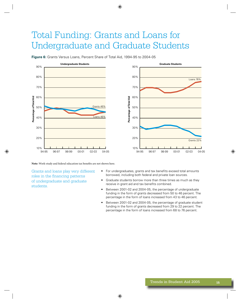## Total Funding: Grants and Loans for Undergraduate and Graduate Students

**Figure 6:** Grants Versus Loans, Percent Share of Total Aid, 1994-95 to 2004-05



Note: Work-study and federal education tax benefits are not shown here.

Grants and loans play very different roles in the financing patterns of undergraduate and graduate students.

- For undergraduates, grants and tax benefits exceed total amounts borrowed, including both federal and private loan sources.
- Graduate students borrow more than three times as much as they receive in grant aid and tax benefits combined.
- Between 2001-02 and 2004-05, the percentage of undergraduate funding in the form of grants decreased from 50 to 46 percent. The percentage in the form of loans increased from 43 to 46 percent.
- Between 2001-02 and 2004-05, the percentage of graduate student funding in the form of grants decreased from 29 to 22 percent. The percentage in the form of loans increased from 68 to 76 percent.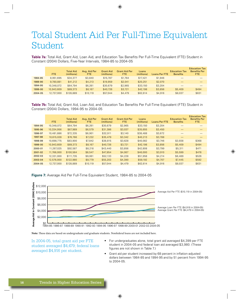### Total Student Aid Per Full-Time Equivalent Student

**Table 7a:** Total Aid, Grant Aid, Loan Aid, and Education Tax Benefits Per Full-Time Equivalent (FTE) Student in Constant (2004) Dollars, Five-Year Intervals, 1984-85 to 2004-05

|         | FTE.       | <b>Total Aid</b><br>(millions) | Avg. Aid Per<br><b>FTE</b> | <b>Grant Aid</b><br>(millions) | <b>Grant Aid Per</b><br>FTE. | Loans<br>(millions) | <b>Loans Per FTE</b> | <b>Education Tax</b><br><b>Benefits</b> | <b>Education Tax</b><br><b>Benefits Per</b><br><b>FTE</b> |
|---------|------------|--------------------------------|----------------------------|--------------------------------|------------------------------|---------------------|----------------------|-----------------------------------------|-----------------------------------------------------------|
| 1984-85 | 8,951,695  | \$34,377                       | \$3,840                    | \$15,787                       | \$1,764                      | \$17,421            | \$1,946              |                                         |                                                           |
| 1989-90 | 9,780,881  | \$41,212                       | \$4.213                    | \$19,959                       | \$2,041                      | \$20,251            | \$2,070              |                                         |                                                           |
| 1994-95 | 10,348,072 | \$64,794                       | \$6,261                    | \$30,679                       | \$2,965                      | \$33,150            | \$3,204              |                                         |                                                           |
| 1999-00 | 10.943.609 | \$89,373                       | \$8,167                    | \$40,726                       | \$3,721                      | \$42,198            | \$3,856              | \$5,409                                 | \$494                                                     |
| 2004-05 | 12.737.000 | \$128,889                      | \$10,119                   | \$57,044                       | \$4,479                      | \$62,614            | \$4,916              | \$8,037                                 | \$631                                                     |

**Table 7b:** Total Aid, Grant Aid, Loan Aid, and Education Tax Benefits Per Full-Time Equivalent (FTE) Student in Constant (2004) Dollars, 1994-95 to 2004-05

|         | FTE.       | <b>Total Aid</b><br>(millions) | Avg. Aid Per<br><b>FTE</b> | <b>Grant Aid</b><br>(millions) | <b>Grant Aid Per</b><br>FTE. | Loans<br>(millions) | <b>Loans Per FTE</b> | <b>Education Tax</b><br><b>Benefits</b> | <b>Education Tax</b><br><b>Benefits Per</b><br><b>FTE</b> |
|---------|------------|--------------------------------|----------------------------|--------------------------------|------------------------------|---------------------|----------------------|-----------------------------------------|-----------------------------------------------------------|
| 1994-95 | 10,348,072 | \$64,794                       | \$6,261                    | \$30,679                       | \$2,965                      | \$33,150            | \$3,204              |                                         |                                                           |
| 1995-96 | 10,334,956 | \$67,989                       | \$6,579                    | \$31,386                       | \$3,037                      | \$35,655            | \$3,450              |                                         |                                                           |
| 1996-97 | 10.481.886 | \$72,335                       | \$6,901                    | \$32,911                       | \$3,140                      | \$38,488            | \$3,672              |                                         |                                                           |
| 1997-98 | 10.615.028 | \$76,766                       | \$7,232                    | \$35,479                       | \$3,342                      | \$40,213            | \$3,788              |                                         |                                                           |
| 1998-99 | 10.698.775 | \$83,900                       | \$7,842                    | \$38,815                       | \$3,628                      | \$40,082            | \$3,746              | \$3,938                                 | \$368                                                     |
| 1999-00 | 10,943,609 | \$89,373                       | \$8,167                    | \$40,726                       | \$3,721                      | \$42,198            | \$3,856              | \$5,409                                 | \$494                                                     |
| 2000-01 | 11,267,025 | \$92,587                       | \$8,218                    | \$43,440                       | \$3,856                      | \$42,808            | \$3,799              | \$5,311                                 | \$471                                                     |
| 2001-02 | 11,766,000 | \$100.564                      | \$8,547                    | \$47,854                       | \$4,067                      | \$46,000            | \$3,910              | \$5,599                                 | \$476                                                     |
| 2002-03 | 12,331,000 | \$111,735                      | \$9,061                    | \$52,133                       | \$4,228                      | \$51,958            | \$4.214              | \$6,489                                 | \$526                                                     |
| 2003-04 | 12.576.000 | \$122,980                      | \$9,779                    | \$55,203                       | \$4,390                      | \$59,192            | \$4,707              | \$7,445                                 | \$592                                                     |
| 2004-05 | 12.737.000 | \$128,889                      | \$10,119                   | \$57,044                       | \$4,479                      | \$62,614            | \$4,916              | \$8,037                                 | \$631                                                     |





Note: These data are based on undergraduate and graduate students. Nonfederal loans are not included here.

In 2004-05, total grant aid per FTE student averaged \$4,479; federal loans averaged \$4,916 per student.

- For undergraduates alone, total grant aid averaged \$4,399 per FTE student in 2004-05 and federal loan aid averaged \$3,980. (These figures are not shown in Table 7.)
- Grant aid per student increased by 68 percent in inflation-adjusted dollars between 1984-85 and 1994-95 and by 51 percent from 1994-95<br>to 2004, 05 to 2004-05.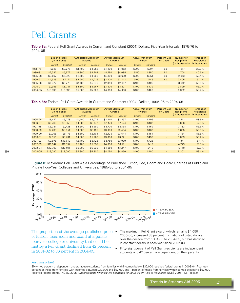## Pell Grants

Table 8a: Federal Pell Grant Awards in Current and Constant (2004) Dollars, Five-Year Intervals, 1975-76 to 2004-05

|         | <b>Expenditures</b><br>(in millions) |          | <b>Authorized Maximum</b><br>Awards |          |         | <b>Actual Maximum</b><br>Awards |         | <b>Actual Minimum</b><br>Awards |        | Number of<br><b>Recipients</b><br>(in thousands) | Percent of<br><b>Recipients</b> |
|---------|--------------------------------------|----------|-------------------------------------|----------|---------|---------------------------------|---------|---------------------------------|--------|--------------------------------------------------|---------------------------------|
|         | Current                              | Constant | Current                             | Constant | Current | Constant                        | Current | Constant                        |        |                                                  | Independent                     |
| 1975-76 | \$926                                | \$3,276  | \$1,400                             | \$4,952  | \$1,400 | \$4,952                         | \$200   | \$707                           | 50     | 1.217                                            | 29.8%                           |
| 1980-81 | \$2,387                              | \$5,572  | \$1,800                             | \$4,202  | \$1,750 | \$4,085                         | \$150   | \$350                           | 50     | 2.708                                            | 40.6%                           |
| 1985-86 | \$3,597                              | \$6,320  | \$2,600                             | \$4,568  | \$2,100 | \$3,689                         | \$200   | \$351                           | 60     | 2.813                                            | 50.4%                           |
| 1990-91 | \$4,935                              | \$7,174  | \$2,900                             | \$4,216  | \$2,300 | \$3,343                         | \$100   | \$145                           | 60     | 3.405                                            | 61.1%                           |
| 1995-96 | \$5,472                              | \$6,773  | \$4,100                             | \$5,075  | \$2,340 | \$2,897                         | \$400   | \$495                           |        | 3.612                                            | 58.5%                           |
| 2000-01 | \$7,956                              | \$8,731  | \$4,800                             | \$5,267  | \$3,300 | \$3,621                         | \$400   | \$439                           | $\sim$ | 3.899                                            | 56.2%                           |
| 2004-05 | \$13,090                             | \$13,090 | \$5,800                             | \$5,800  | \$4,050 | \$4,050                         | \$400   | \$400                           | $\sim$ | 5.302                                            | 58.4%                           |

Table 8b: Federal Pell Grant Awards in Current and Constant (2004) Dollars, 1995-96 to 2004-05

|         | <b>Expenditures</b><br>(in millions) |          | <b>Authorized Maximum</b><br>Awards |          | <b>Actual Maximum</b><br>Awards |          | <b>Actual Minimum</b><br>Awards |          | <b>Percent Cap</b><br>on Costs | Number of<br>Recipients | Percent of<br>Recipients |
|---------|--------------------------------------|----------|-------------------------------------|----------|---------------------------------|----------|---------------------------------|----------|--------------------------------|-------------------------|--------------------------|
|         | Current                              | Constant | Current                             | Constant | Current                         | Constant | Current                         | Constant |                                | (in thousands)          | Independent              |
| 1995-96 | \$5,472                              | \$6,773  | \$4,100                             | \$5,075  | \$2,340                         | \$2,897  | \$400                           | \$495    | $\overline{\phantom{a}}$       | 3.612                   | 58.5%                    |
| 1996-97 | \$5,780                              | \$6,959  | \$4,300                             | \$5,177  | \$2,470                         | \$2,974  | \$400                           | \$482    | $\overline{\phantom{a}}$       | 3.666                   | 57.6%                    |
| 1997-98 | \$6,331                              | \$7,428  | \$4,500                             | \$5,280  | \$2,700                         | \$3,168  | \$400                           | \$469    | $\overline{\phantom{a}}$       | 3.733                   | 56.6%                    |
| 1998-99 | \$7,233                              | \$8,351  | \$4,500                             | \$5,195  | \$3,000                         | \$3,464  | \$400                           | \$462    | $\qquad \qquad \blacksquare$   | 3.855                   | 55.3%                    |
| 1999-00 | \$7,208                              | \$8,176  | \$4,500                             | \$5,104  | \$3,125                         | \$3,544  | \$400                           | \$454    | $\qquad \qquad \blacksquare$   | 3.764                   | 55.5%                    |
| 2000-01 | \$7,956                              | \$8,731  | \$4,800                             | \$5,267  | \$3,300                         | \$3,621  | \$400                           | \$439    | $\overline{\phantom{a}}$       | 3,899                   | 56.2%                    |
| 2001-02 | \$9,975                              | \$10,612 | \$5,100                             | \$5,425  | \$3,750                         | \$3,989  | \$400                           | \$426    | $\overline{\phantom{a}}$       | 4.341                   | 57.1%                    |
| 2002-03 | \$11,642                             | \$12,197 | \$5,400                             | \$5,657  | \$4,000                         | \$4,191  | \$400                           | \$419    | $\overline{\phantom{a}}$       | 4.779                   | 57.5%                    |
| 2003-04 | \$12,708                             | \$13,011 | \$5,800                             | \$5,939  | \$4,050                         | \$4,147  | \$400                           | \$410    | $\overline{\phantom{a}}$       | 5.140                   | 57.8%                    |
| 2004-05 | \$13,090                             | \$13,090 | \$5,800                             | \$5,800  | \$4,050                         | \$4,050  | \$400                           | \$400    | $\overline{\phantom{a}}$       | 5,302                   | 58.4%                    |

Figure 8: Maximum Pell Grant As a Percentage of Published Tuition, Fee, Room and Board Charges at Public and Private Four-Year Colleges and Universities, 1985-86 to 2004-05



The proportion of the average published price • of tuition, fees, room and board at a public four-year college or university that could be met by a Pell Grant declined from 42 percent in 2001-02 to 36 percent in 2004-05.

- The maximum Pell Grant award, which remains \$4,050 in 2005-06, increased 38 percent in inflation-adjusted dollars over the decade from 1994-95 to 2004-05, but has declined in constant dollars in each year since 2002-03.
- Fifty-eight percent of Pell Grant recipients are independent students and 42 percent are dependent on their parents.

#### Also important:

Sixty-two percent of dependent undergraduate students from families with incomes below \$32,000 received federal grants in 2003-04. Fourteen percent of those from families with incomes between \$32,000 and \$92,000 and 1 percent of those from families with incomes exceeding \$92,000 received federal grants. (NCES, 2005, Undergraduate Financial Aid Estimates for 2003-04 by Type of Institution, NCES 2005-163, Table 2)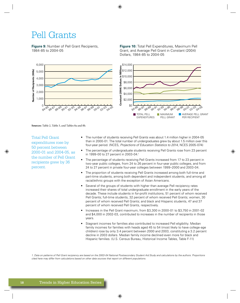### Pell Grants

6,000

5,000 4,000 3,000 2,000 1,000

> $\bigcap$ 84.8F

**Jumber of Recipients (000s)** 

**Figure 9: Number of Pell Grant Recipients,** 1984-85 to 2004-05



Figure 10: Total Pell Expenditures, Maximum Pell Grant, and Average Pell Grant in Constant (2004) Dollars, 1984-85 to 2004-05

alf 9r

MAXIMUM

PELL GRANT

 $o_{o_{Q'}}$ 

 $O2^{\Omega}$ 

PER RECIPIENT

AVERAGE PELL GRANT



**Total Pell Grant** expenditures rose by 50 percent between 2000-01 and 2004-05, as the number of Pell Grant recipients grew by 36 percent.

The number of students receiving Pell Grants was about 1.4 million higher in 2004-05 than in 2000-01. The total number of undergraduates grew by about 1.5 million over this four-year period. (NCES, Projections of Education Statistics to 2014, NCES 2005-074)

\$0

 $\sigma_{\rm O}$ 

**A4**88

ුග<sup>න්</sup>

**TOTAL PELL EXPENDITURES** 

- The percentage of undergraduate students receiving Pell Grants rose from 23 percent in 1999-00 to 27 percent in 2003-04.1
- The percentage of students receiving Pell Grants increased from 17 to 23 percent in two-year public colleges, from 24 to 26 percent in four-year public colleges, and from 24 to 27 percent in private four-year colleges between 1999–2000 and 2003-04.
- The proportion of students receiving Pell Grants increased among both full-time and part-time students, among both dependent and independent students, and among all racial/ethnic groups with the exception of Asian Americans.
- Several of the groups of students with higher than average Pell recipiency rates increased their shares of total undergraduate enrollment in the early years of the decade. These include students in for-profit institutions, 51 percent of whom received Pell Grants; full-time students, 32 percent of whom received Pell Grants; women, 30 percent of whom received Pell Grants; and black and Hispanic students, 47 and 37 percent of whom received Pell Grants, respectively.
- Increases in the Pell Grant maximum, from \$3,300 in 2000-01 to \$3,750 in 2001-02 and \$4,000 in 2002-03, contributed to increases in the number of recipients in those years.
- Stagnant incomes for families also contributed to increased Pell eligibility. Median family incomes for families with heads aged 45 to 54 (most likely to have college-age children) rose by only 3.4 percent between 2000 and 2003, constituting a 3.2 percent decline in 2003 dollars. Median family income declined even more for black and Hispanic families. (U.S. Census Bureau, Historical Income Tables, Table F-11)

1. Data on patterns of Pell Grant recipiency are based on the 2003-04 National Postsecondary Student Aid Study and calculations by the authors. Proportions cited here may differ from calculations based on other data sources that report on different populations.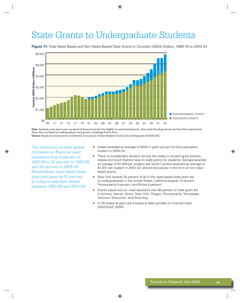### **State Grants to Undergraduate Students**

\$6.000 \$5,000 Constant (2004) Dollars in Millions \$4,000 \$3,000 \$2,000 \$1,000 NON-NEED-BASED GRANTS NEED-BASED GRANTS \$0 69 73 75 77 79 81 83 85 87 89 91 93 95 97 99 01 03 71

**Figure 11:** Total Need-Based and Non-Need-Based State Grants in Constant (2004) Dollars, 1969-70 to 2003-04

Note: Students must meet some standard of financial need to be eligible for need-based grants. Non-need-based grants do not have this requirement. These data are based on undergraduate state grants, excluding Puerto Rico. Source: Based on annual survey of National Association of State Student Grant and Aid Programs (NASSGAP).

The proportion of state grants not based on financial need increased from 9 percent in 1983-84 to 10 percent in 1993-94 and 26 percent in 2003-04. Nonetheless, need-based state grant aid grew by 53 percent in inflation-adjusted dollars between 1993-94 and 2003-04.

- States awarded an average of \$500 in grant aid per full-time equivalent student in 2003-04.
- There is considerable variation among the states in student grant policies. Alaska and South Dakota have no state grants for students. Georgia awarded an average of \$1,506 per student and South Carolina awarded an average of \$1,501 per student in 2003-04, almost exclusively in the form of non-needbased grants.
- New York awards 20 percent of all of the need-based state grant aid  $\bullet$ to undergraduates in the United States; California awards 15 percent, Pennsylvania 9 percent, and Illinois 8 percent.
- Grants based only on need represent over 95 percent of state grant aid in Arizona, Hawaii, Illinois, New York, Oregon, Pennsylvania, Tennessee, Vermont, Wisconsin, and Wyoming.
- In 29 states all grant aid is based at least partially on financial need.  $\bullet$ (NASSGAP, 2005)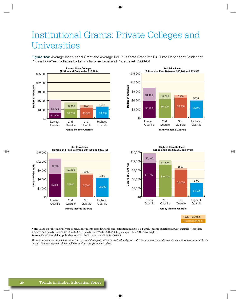## **Institutional Grants: Private Colleges and** Universities

Figure 12a: Average Institutional Grant and Average Pell Plus State Grant Per Full-Time Dependent Student at Private Four-Year Colleges by Family Income Level and Price Level, 2003-04







Note: Based on full-time full-year dependent students attending only one institution in 2003-04. Family income quartiles: Lowest quartile = less than  $$32,375;$  2nd quartile =  $$32,375 $59,443;$  3rd quartile =  $$59,444 $91,754;$  highest quartile =  $$91,754$  or higher. Source: David Mundel, unpublished reports, 2005; based on NPSAS: 2003-04.

The bottom segment of each bar shows the average dollars per student in institutional grant aid, averaged across all full-time dependent undergraduates in the sector. The upper segment shows Pell Grant plus state grant per student.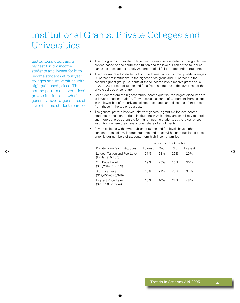## **Institutional Grants: Private Colleges and** Universities

Institutional grant aid is highest for low-income students and lowest for highincome students at four-year colleges and universities with high published prices. This is not the pattern at lower-priced private institutions, which generally have larger shares of lower-income students enrolled

- The four groups of private colleges and universities described in the graphs are divided based on their published tuition and fee levels. Each of the four price bands includes approximately 25 percent of all full-time dependent students.
- The discount rate for students from the lowest family income quartile averages 39 percent at institutions in the highest price group and 36 percent in the second highest group. Students at these income levels receive grants equal to 22 to 23 percent of tuition and fees from institutions in the lower half of the private college price range.
- For students from the highest family income quartile, the largest discounts are at lower-priced institutions. They receive discounts of 32 percent from colleges in the lower half of the private college price range and discounts of 16 percent from those in the top price group.
- The general pattern involves relatively generous grant aid for low-income students at the higher-priced institutions in which they are least likely to enroll, and more generous grant aid for higher-income students at the lower-priced institutions where they have a lower share of enrollments.
- Private colleges with lower published tuition and fee levels have higher concentrations of low-income students and those with higher published prices enroll larger numbers of students from high-income families.

| <b>Family Income Quartile</b>                    |        |     |     |         |
|--------------------------------------------------|--------|-----|-----|---------|
| Private Four-Year Institutions                   | Lowest | 2nd | 3rd | Highest |
| Lowest Tuition and Fee Level<br>(Under \$15,200) | 31%    | 23% | 26% | 20%     |
| 2nd Price Level<br>$($15,201 - $19,399)$         | 19%    | 25% | 26% | 30%     |
| 3rd Price Level<br>$($19,400 - $25,349)$         | 16%    | 21% | 26% | 37%     |
| Highest Price Level<br>(\$25,350 or more)        | 13%    | 16% | 22% | 48%     |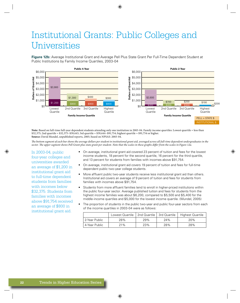# Institutional Grants: Public Colleges and Universities

Figure 12b: Average Institutional Grant and Average Pell Plus State Grant Per Full-Time Dependent Student at Public Institutions by Family Income Quartiles, 2003-04



Note: Based on full-time full-year dependent students attending only one institution in 2003-04. Family income quartiles: Lowest quartile = less than \$32,375; 2nd quartile = \$32,375-\$59,443; 3rd quartile = \$59,444-\$91,754; highest quartile = \$91,754 or higher. Source: David Mundel, unpublished reports, 2005; based on NPSAS: 2003-04.

The bottom segment of each bar shows the average dollars per student in institutional grant aid, averaged across all full-time dependent undergraduates in the sector. The upper segment shows Pell Grant plus state grant per student. Note that the scales in these graphs differ from the scales in Figure 12a.

In 2003-04, public four-year colleges and universities awarded an average of \$1,200 in institutional grant aid to full-time dependent students from families with incomes below \$32,375. Students from families with incomes above \$91.754 received an average of \$800 in institutional grant aid.

- On average, institutional grant aid covered 23 percent of tuition and fees for the lowest  $\bullet$ income students, 18 percent for the second quartile, 16 percent for the third quartile, and 13 percent for students from families with incomes above \$91,754.
- On average, institutional grant aid covers 19 percent of tuition and fees for full-time dependent public two-year college students.
- More affluent public two-year students receive less institutional grant aid than others. Institutional aid covers an average of 9 percent of tuition and fees for students from families with incomes above \$91.754.
- Students from more affluent families tend to enroll in higher-priced institutions within the public four-year sector. Average published tuition and fees for students from the highest income families was about \$6,200, compared to \$5,500 and \$5,400 for the middle-income quartiles and \$5,000 for the lowest income quartile. (Mundel, 2005)
- The proportion of students in the public two-year and public four-year sectors from each of the income quartiles in 2003-04 were as follows:

|               | Lowest Quartile   2nd Quartile   3rd Quartile |     |     | Highest Quartile |
|---------------|-----------------------------------------------|-----|-----|------------------|
| 2-Year Public | 28%                                           | 29% | 24% | 20%              |
| 4-Year Public | 21%                                           | 23% | 28% | 28%              |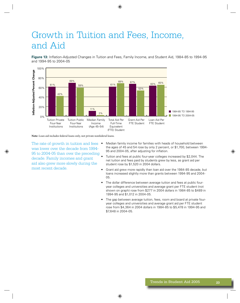## Growth in Tuition and Fees, Income, and Aid

Figure 13: Inflation-Adjusted Changes in Tuition and Fees, Family Income, and Student Aid, 1984-85 to 1994-95 and 1994-95 to 2004-05



Note: Loan aid includes federal loans only, not private nonfederal loans.

The rate of growth in tuition and fees • was lower over the decade from 1994-95 to 2004-05 than over the preceding decade. Family incomes and grant aid also grew more slowly during the most recent decade.

- Median family income for families with heads of household between the ages of 45 and 54 rose by only 2 percent, or \$1,700, between 1994-95 and 2004-05, after adjusting for inflation.
- Tuition and fees at public four-year colleges increased by \$2,044. The net tuition and fees paid by students grew by less, as grant aid per student rose by \$1,520 in 2004 dollars.
- Grant aid grew more rapidly than loan aid over the 1984-85 decade, but loans increased slightly more than grants between 1994-95 and 2004-05.
- The dollar difference between average tuition and fees at public fouryear colleges and universities and average grant per FTE student (not shown on graph) rose from \$277 in 2004 dollars in 1984-85 to \$489 in 1994-95 and \$1,012 in 2004-05.
- The gap between average tuition, fees, room and board at private fouryear colleges and universities and average grant aid per FTE student rose from \$4,364 in 2004 dollars in 1984-85 to \$5,478 in 1994-95 and \$7,648 in 2004-05.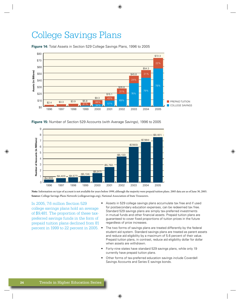### **College Savings Plans**

**Figure 14:** Total Assets in Section 529 College Savings Plans, 1996 to 2005



Figure 15: Number of Section 529 Accounts (with Average Savings), 1996 to 2005



Note: Information on type of account is not available for years before 1999, although the majority were prepaid tuition plans. 2005 data are as of June 30, 2005. Source: College Savings Plans Network (collegesavings.org), National Association of State Treasurers.

In 2005, 7.6 million Section 529 college savings plans hold an average of \$9,481. The proportion of these taxpreferred savings funds in the form of prepaid tuition plans declined from 81 percent in 1999 to 22 percent in 2005.

- Assets in 529 college savings plans accumulate tax free and if used for postsecondary education expenses, can be redeemed tax free. Standard 529 savings plans are simply tax-preferred investments in mutual funds and other financial assets. Prepaid tuition plans are guaranteed to cover fixed proportions of tuition prices in the future regardless of price increases.
- The two forms of savings plans are treated differently by the federal student aid system. Standard savings plans are treated as parent assets and reduce aid eligibility by a maximum of 5.6 percent of their value. Prepaid tuition plans, in contrast, reduce aid eligibility dollar for dollar when assets are withdrawn.
- Forty-nine states have standard 529 savings plans, while only 19 currently have prepaid tuition plans.
- Other forms of tax-preferred education savings include Coverdell Savings Accounts and Series E savings bonds.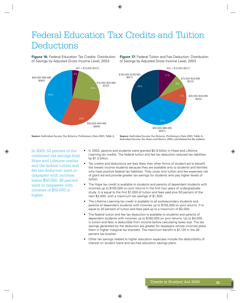# Federal Education Tax Credits and Tuition Deductions

**Figure 16:** Federal Education Tax Credits: Distribution of Savings by Adjusted Gross Income Level, 2003



**Figure 17:** Federal Tuition and Fee Deduction: Distribution of Savings by Adjusted Gross Income Level, 2003



**Source:** Individual Income Tax Returns, Preliminary Data 2003, Table A. **Source:** Individual Income Tax Returns, Preliminary Data 2003, Table A;

Individual Income Tax Rates and Shares, 2002; calculations by the authors.

In 2003, 52 percent of the combined tax savings from Hope and Lifetime credits and the federal tuition and fee tax deduction went to taxpayers with incomes below \$50,000; 48 percent went to taxpayers with incomes of \$50,000 or higher.

- In 2003, parents and students were granted \$5.9 billion in Hope and Lifetime Learning tax credits. The federal tuition and fee tax deduction reduced tax liabilities by \$1.3 billion.
- Tax credits and deductions are less likely than other forms of student aid to benefit the lowest income students because they are available only to students and families who have positive federal tax liabilities. They cover only tuition and fee expenses net of grant aid and provide greater tax savings for students who pay higher levels of tuition.
- The Hope tax credit is available to students and parents of dependent students with incomes up to \$105,000 on joint returns in the first two years of undergraduate study. It is equal to the first \$1,000 of tuition and fees paid plus 50 percent of the next \$2,000, with a maximum tax savings of \$1,500.
- The Lifetime Learning tax credit is available to all postsecondary students and parents of dependent students with incomes up to \$105,000 on joint returns. It is equal to 20 percent of tuition and fees paid up to a maximum of \$2,000.
- The federal tuition and fee tax deduction is available to students and parents of dependent students with incomes up to \$160,000 on joint returns. Up to \$4,000 in tuition and fees is deductible from income before calculating taxes due. The tax savings generated by the deduction are greater for taxpayers whose incomes place them in higher marginal tax brackets. The maximum benefit is \$1,120 in the 28 percent tax bracket.
- Other tax savings related to higher education expenses include the deductibility of interest on student loans and tax-free education savings plans.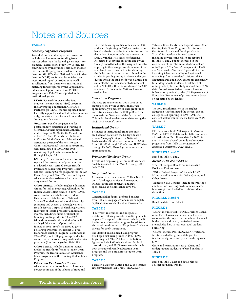### **Notes and Sources**

#### **TABLE 1**

#### **Federally Supported Programs**

Several of the federally supported programs include small amounts of funding from sources other than the federal government. For example, Federal Work-Study (FWS) includes contributions by institutions, although most of the funds in the program are federal. Perkins Loans (until 1987 called National Direct Student Loans or NDSL) are funded from federal and institutional capital contributions as well as collections from borrowers. Institutional matching funds required by the Supplemental Educational Opportunity Grant (SEOG) program since 1989-90 are reported under institutional grants.

LEAP. Formerly known as the State Student Incentive Grant (SSIG) program, the Leveraging Educational Assistance Partnerships (LEAP) monies reported under federally supported aid include federal monies only; the state share is included under the "state grants" category.

Veterans. Benefits are payments for postsecondary education and training to veterans and their dependents authorized under Chapters 30, 31, 32, 34, 35, and 106 of the U.S. Code. Federal contributions to Chapter 34, the Veterans' Educational Assistance portion of the Post-Korean Conflict Educational Assistance Programs, were terminated in 1990. After 1990, remaining eligible veterans were funded through Chapter 30.

Military. Expenditures for education are reported for three types of programs: the F. Edward Hebert Armed Forces Health Professions Scholarship Program; Reserve Officers' Training Corps programs for the Air Force, Army, and Navy/Marines; and higher education tuition assistance for the active duty Armed Forces.

Other Grants. Includes Higher Education Grants for Indian Students; Fellowships for Indian Students (last funded in 1995-1996), American Indian Scholarships; Indian Health Service Scholarships; National Science Foundation predoctoral fellowships (minority and general graduate); National Health Service Corps Scholarships; National Institutes of Health predoctoral individual awards, including Nursing Fellowships (nursing funding ended in 1984-1985); fellowships awarded through the Council on Legal Educational Opportunity (last funded in 1995-1996); the Jacob K. Javits Fellowship Program; the Robert C. Byrd Honors Scholarship Program (last funded in 1994-1995); and college grants provided to volunteers in the AmeriCorps national service programs (funding began in 1994-1995).

Other Loans. Includes amounts loaned under the Health Professions Student Loan Program, the Health Education Assistance Loan Program, and the Nursing Student Loan Program.

Education Tax Benefits. Data on education tax credits are Internal Revenue Service estimates of the volume of Hope and Lifetime Learning credits for tax years 1998 and later. Beginning in 2002, estimates of tax benefits also include the federal tuition and fee deduction. Amounts deducted are reported annually in the IRS Statistics of Income. Associated tax savings are estimated by the College Board based on the marginal tax rates applying to the average taxable income of the tax filers in each income bracket claiming the deduction. Amounts are attributed to the academic year beginning in the calendar year during which the tax benefit was claimed. For example, the tax benefit counted as student aid in 2002-03 is the amount claimed on 2002 tax forms. Estimates for 2004 are based on earlier data.

#### **State Grant Programs**

The state grant amount for 2004-05 is based on projections by the 20 states that award approximately 90 percent of state grant funds and estimates made by the College Board for the remaining 30 states and the District of Columbia. Previous data are updated using the NASSGAP Annual Survey.

#### **Institutional Grants**

Estimates of institutional grant amounts are based on data from the College Board's Annual Survey of Colleges, the National Postsecondary Student Aid Surveys (NPSAS) from 1992-93 through 2003-04, and IPEDS data through FY 2003, These figures represent best approximations.

#### **Private and Employer Grants**

Private and employer grant amounts are based on data included in the 1992-93 through 2003-04 NPSAS.

#### Nonfederal Loans

Estimates based on an annual College Board poll of the largest nonfederal loan sponsors; includes estimates of private and statesponsored loan volume since 1995-96.

#### **TABLE 2**

Constant dollar figures are based on data from Table 1. See page 27 for a more complete explanation of constant-dollar conversions.

#### **TABLE 5**

"Four-year" institutions include public institutions offering bachelor's and/or graduate degrees. "Two-year" institutions include public institutions of any other program length from<br>six months to three years. "Proprietary" refers to private for-profit institutions.

The Stafford unsubsidized loan program first began disbursing funds in 1992-1993. Beginning in 1994-1995, loan distribution figures include Stafford subsidized, Stafford unsubsidized, and PLUS loans made through both the Federal Family Education Loan Program and the Ford Direct Student Loan Program.

#### **TABLE 6**

Based on data from Tables 1 and 2. The "grants" category includes Pell Grants, SEOG, LEAP,

Veterans Benefits, Military Expenditures, Other Grants, State Grant Programs, Institutional Grants and Private and Employer Grants. "Loans" include loans from all sources, including private loans, which are reported in Tables 1 and 2 but not included in the calculation of the total amount of student aid or in Figure 2. The "work" component is FWS and "tax benefits" include Hope and Lifetime Learning federal tax credits and estimated tax savings from the federal tuition and fee deduction. Pell and SEOG grants are exclusively for undergraduate students. Breakdown of other grants by level of study is based on NPSAS data. Breakdown of federal loans is based on information provided by the U.S. Department of Education. Breakdown of private loans is based on reporting by the lenders.

#### **TABLE 8**

The 1992 reauthorization of the Higher Education Act eliminated the percent cap on college costs beginning in 1993-1994. The constant-dollar values reflect a fiscal year CPI adiustment.

#### **TABLE 7**

FTE data from Table 200, Digest of Education Statistics 2003. FTE data are for fall enrollment, all institutions. Enrollment data for 2003-04 and 2004-05 are based on middle alternative projections from Table 22, Projections of Education Statistics to 2012, NCES.

#### **FIGURES 1 and 2**

Based on Tables 1 and 2.

Academic Year 2004 = 2004-05

"Federal Campus-Based" aid includes SEOG, FWS, and Perkins Loans.

"Other Federal Programs" include LEAP, Military and Veterans' aid, Other Grants, and Other Loans.

"Education Tax Benefits" include federal Hope and Lifetime Learning credits and estimated tax savings from the federal tuition and fee deduction.

#### **FIGURES 3 and 4**

Based on data from Table 2.

#### **FIGURE 6**

"Loans" include FFELP, FDSLP, Perkins Loans, other federal loans, and nonfederal loans as surveyed for this report. Although not included in the student aid total, nonfederal loans are included here to represent total student borrowing.

"Grants" include Pell, SEOG, LEAP, Veterans, Military and other grants, state grants, institutional grants, and private and employer grants.

Grant and loan amounts for graduate and undergraduate students are based on data in Table 6.

#### **FIGURE 7**

Based on Table 7 data and data online at collegeboard.com/trends.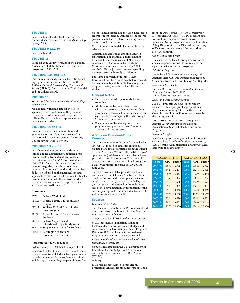#### **FIGURE 8**

Based on Table 3 and Table 8. Tuition, fee, room and board data are from Trends in College Pricing 2005.

#### **FIGURES 9 and 10**

Based on Table 8.

#### **FIGURE 11**

Based on annual survey results of the National Association of State Student Grant and Aid Programs (NASSGAP).

#### **FIGURES 12a and 12b**

Data on institutional grant aid by institutional type, price and income levels are from the 2003-04 National Postsecondary Student Aid Survey (NPSAS). Calculations by David Mundel and the College Board.

#### **FIGURE 13**

Tuition and fee data are from Trends in College Pricing 2005.

Median family income data for the 45–54 age category are used because they are more representative of families with dependents in college. This statistic is not representative of independent students.

#### **FIGURES 14 and 15**

Data on assets in state savings plans and guaranteed tuition plans were provided by the National Association of State Treasurers, College Savings Plans Network.

#### **FIGURES 16 and 17**

Distribution of education tax credits and tuition and fee deductions by adjusted gross income levels is from Statistics of Income, Individual Income Tax Returns, Preliminary Data, 2003. Because the data are reported by income categories, some interpolation was required. Tax savings from the tuition and fee deduction is based on the marginal tax rates applicable to filers with the levels of 2003 taxable income associated with the returns on which the deduction was claimed (http://www.irs. gov/pub/irs-soi/02inrate.pdf).

#### **Acronyms**

- FWS = Federal Work-Study
- FFELP = Federal Family Education Loan Program
- FDSLP= William D. Ford Direct Student Loan Program
- PLUS = Parent Loans to Undergraduate Students
- SEOG = Federal Supplemental Educational Opportunity Grant
- SLS = Supplemental Loans for Students
- LEAP = Leveraging Educational Assistance Partnerships

Academic year: July 1 to June 30

Federal fiscal year: October 1 to September 30 Subsidized Stafford Loans = Need-based federal student loans for which the federal government pays the interest while the student is in school and during a six-month grace period thereafter.

Unsubsidized Stafford Loans = Non-need-based federal student loans guaranteed by the federal government but with interest accruing during the in-school time period.

Current dollars: Actual dollar amounts in the relevant year.

Constant dollars: Dollar amounts adjusted for inflation. For example, a dollar amount from 2000 reported in constant 2004 dollars is increased by the amount by which the Consumer Price Index rose between 2000 and 2004. This adjustment removes spending increases attributable only to inflation.

Full-Time Equivalent Students (FTEs): Enrollment numbers based on a federal formula that counts each part-time student as equivalent to approximately one-third of a full-time student.

#### **General Notes**

- Details may not add up to totals due to rounding.
- Aid is reported by the academic year in which it is awarded. When necessary, fiscal year data are converted to the academic year equivalents by reassigning the July through September expenditures.
- For a more detailed description of the programs and past trends, see Trends in Student Aid: 1963 to 1983.

#### **A Note on Constant-Dollar Conversion**

The Consumer Price Index for all urban dwellers (the CPI-U) is used to adjust for inflation. Updated CPI data are available from the Bureau of Labor Statistics Web site (http://stats.bls.gov/ cpihome.htm).We have used an academic baseyear calculation in most cases. The academic base year for 2004-05 was calculated using CPI data for the months inclusive of July 2004 to June 2005.

The CPI conversion table provides academic and calendar year CPI data. The factor column provides the user with a multiplication factor equal to that of CPI (base year) divided by CPI (current year), as illustrated in the right-hand side of the above equation. Multiplication of the current year figure by the associated factor will yield a constant-dollar result.

#### **Sources**

Consumer Price Index

The Consumer Price Index (CPI) for current and past years is from the Bureau of Labor Statistics, U.S. Department of Labor.

Campus-Based Aid (FWS, Perkins, and SEOG)

U.S. Department of Education, Office of Postsecondary Education Policy, Budget, and Analysis staff. Federal Campus-Based Programs Databook 2002 and Federal Campus-Based Programs Distribution of Awards Annual.

Federal Family Education Loan and Ford Direct Student Loan Programs

Unpublished data from the U.S. Department of Education, Policy, Budget, and Analysis sta and the National Student Loan Data System (NSLDS).

Military

F. Edward Hebert Armed Forces Health Professions Scholarship amounts were obtained from the Office of the Assistant Secretary for Defense (Health Affairs). ROTC program data were obtained separately from the Air Force, Army, and Navy program offices. The Education Policy Directorate of the Office of the Secretary of Defense provided Armed Forces tuition assistance amounts.

#### Other Grants and Loans

The data were collected through conversations and correspondence with the officials of the agencies that sponsor the programs.

#### Pell Grant Program

Unpublished data from Policy, Budget, and Analysis Staff, U.S. Department of Education. Other data from Pell Grant End of Year Reports.

#### Education Tax Benefits

Internal Revenue Service, Individual Income Rates and Shares, 2002, 2003 SOI Bulletin, Winter 2002–2003.

#### LEAP and State Grant Programs

2004-05: Preliminary figures reported by 20 states with largest grant appropriations. Figures for remaining 30 states, the District of Columbia, and Puerto Rico were estimated by the College Board.

1988–1989 to 2003-04: 20th through 35th Annual Survey Reports of the National Association of State Scholarship and Grant Programs.

#### Veterans Benefits

Benefits Program series (annual publication for each fiscal year), Office of Budget and Finance, U.S. Veteran's Administration, and unpublished data from the same agency.

|         | <b>ACADEMIC YEAR</b> |        | <b>CALENDAR YEAR</b> |            |        |  |
|---------|----------------------|--------|----------------------|------------|--------|--|
| Year    | <b>CPI</b>           | Factor | Year                 | <b>CPI</b> | Factor |  |
| 1994-95 | 150.4                | 1.2745 | 1994                 | 148.2      | 1.2743 |  |
| 1995-96 | 154.5                | 1.2407 | 1995                 | 152.4      | 1.2395 |  |
| 1996-97 | 158.9                | 1.2063 | 1996                 | 156.9      | 1.2042 |  |
| 1997-98 | 161.7                | 1.1852 | 1997                 | 160.5      | 1.1767 |  |
| 1998-99 | 164.4                | 1.1660 | 1998                 | 162.9      | 1.1597 |  |
| 1999-00 | 169.1                | 1.1335 | 1999                 | 166.4      | 1.1351 |  |
| 2000-01 | 175.1                | 1.0948 | 2000                 | 172.2      | 1.0969 |  |
| 2001-02 | 178.2                | 1.0758 | 2001                 | 177.1      | 1.0667 |  |
| 2002-03 | 182.1                | 1.0526 | 2002                 | 179.9      | 1.0501 |  |
| 2003-04 | 186.1                | 1.0301 | 2003                 | 184.0      | 1.0268 |  |
| 2004-05 | 191.7                | 1.0000 | $\overline{2004}$    | 188.9      | 1.0000 |  |